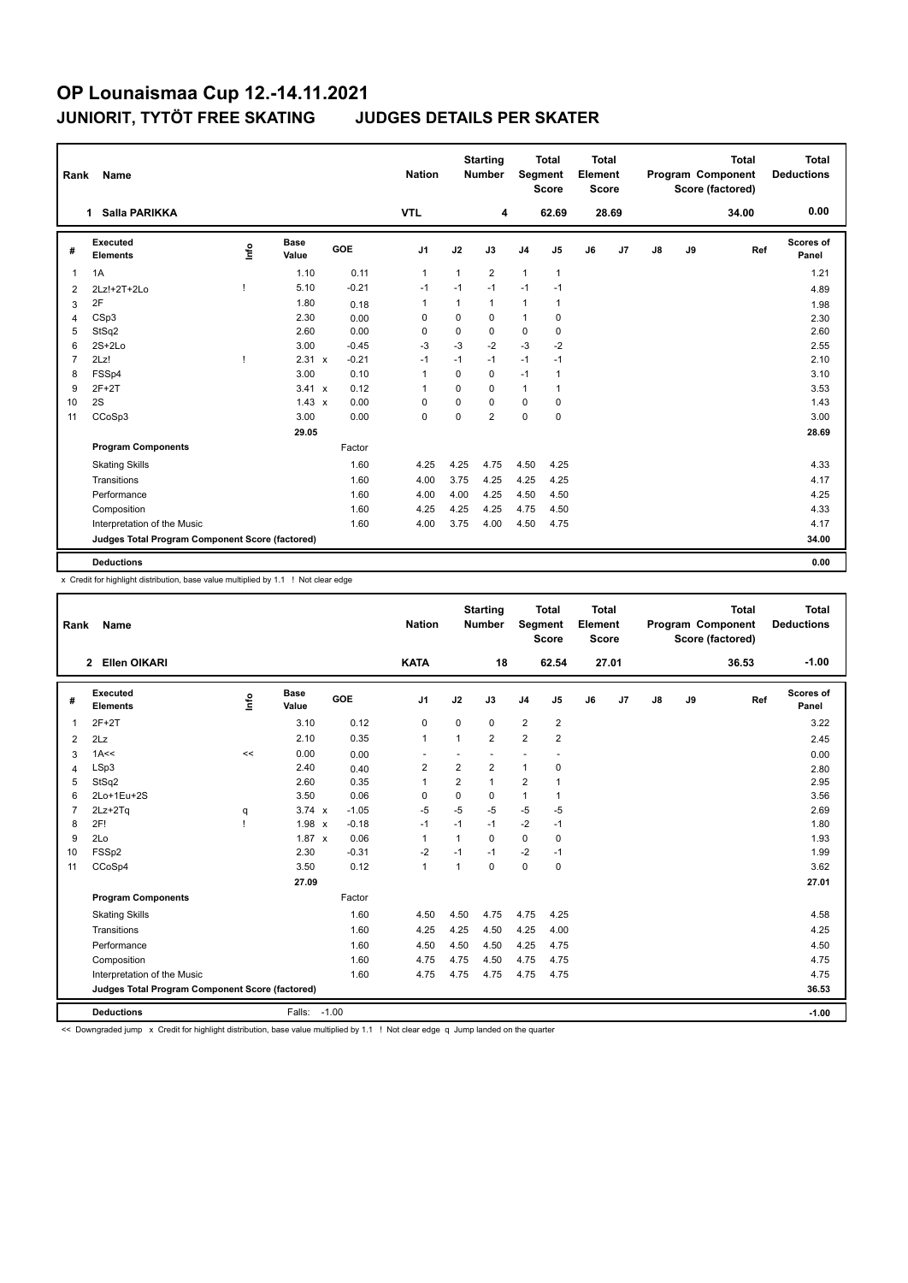| Rank           | Name                                            |    |               |         | <b>Nation</b>  |              | <b>Starting</b><br><b>Number</b> |                | <b>Total</b><br>Segment<br><b>Score</b> | <b>Total</b><br>Element<br><b>Score</b> |       |    |    | <b>Total</b><br>Program Component<br>Score (factored) | <b>Total</b><br><b>Deductions</b> |
|----------------|-------------------------------------------------|----|---------------|---------|----------------|--------------|----------------------------------|----------------|-----------------------------------------|-----------------------------------------|-------|----|----|-------------------------------------------------------|-----------------------------------|
|                | Salla PARIKKA<br>1                              |    |               |         | <b>VTL</b>     |              | 4                                |                | 62.69                                   |                                         | 28.69 |    |    | 34.00                                                 | 0.00                              |
| #              | Executed<br><b>Elements</b>                     | ۴ů | Base<br>Value | GOE     | J <sub>1</sub> | J2           | J3                               | J <sub>4</sub> | J5                                      | J6                                      | J7    | J8 | J9 | Ref                                                   | Scores of<br>Panel                |
| 1              | 1A                                              |    | 1.10          | 0.11    | $\mathbf{1}$   | $\mathbf{1}$ | $\overline{2}$                   | $\overline{1}$ | $\mathbf{1}$                            |                                         |       |    |    |                                                       | 1.21                              |
| 2              | $2Lz!+2T+2Lo$                                   |    | 5.10          | $-0.21$ | $-1$           | $-1$         | $-1$                             | $-1$           | $-1$                                    |                                         |       |    |    |                                                       | 4.89                              |
| 3              | 2F                                              |    | 1.80          | 0.18    | $\mathbf{1}$   | $\mathbf{1}$ | $\mathbf{1}$                     | $\mathbf{1}$   | 1                                       |                                         |       |    |    |                                                       | 1.98                              |
| 4              | CSp3                                            |    | 2.30          | 0.00    | $\Omega$       | $\mathbf 0$  | 0                                | $\overline{1}$ | 0                                       |                                         |       |    |    |                                                       | 2.30                              |
| 5              | StSq2                                           |    | 2.60          | 0.00    | 0              | 0            | 0                                | 0              | 0                                       |                                         |       |    |    |                                                       | 2.60                              |
| 6              | $2S+2Lo$                                        |    | 3.00          | $-0.45$ | $-3$           | $-3$         | $-2$                             | $-3$           | $-2$                                    |                                         |       |    |    |                                                       | 2.55                              |
| $\overline{7}$ | 2Lz!                                            |    | 2.31 x        | $-0.21$ | $-1$           | $-1$         | $-1$                             | $-1$           | $-1$                                    |                                         |       |    |    |                                                       | 2.10                              |
| 8              | FSSp4                                           |    | 3.00          | 0.10    | $\mathbf{1}$   | $\Omega$     | 0                                | $-1$           | 1                                       |                                         |       |    |    |                                                       | 3.10                              |
| 9              | $2F+2T$                                         |    | 3.41 x        | 0.12    | $\mathbf 1$    | $\Omega$     | $\Omega$                         | $\mathbf{1}$   | 1                                       |                                         |       |    |    |                                                       | 3.53                              |
| 10             | 2S                                              |    | $1.43 \times$ | 0.00    | 0              | $\Omega$     | $\Omega$                         | 0              | 0                                       |                                         |       |    |    |                                                       | 1.43                              |
| 11             | CCoSp3                                          |    | 3.00          | 0.00    | $\mathbf 0$    | $\Omega$     | $\overline{2}$                   | $\mathbf 0$    | $\mathbf 0$                             |                                         |       |    |    |                                                       | 3.00                              |
|                |                                                 |    | 29.05         |         |                |              |                                  |                |                                         |                                         |       |    |    |                                                       | 28.69                             |
|                | <b>Program Components</b>                       |    |               | Factor  |                |              |                                  |                |                                         |                                         |       |    |    |                                                       |                                   |
|                | <b>Skating Skills</b>                           |    |               | 1.60    | 4.25           | 4.25         | 4.75                             | 4.50           | 4.25                                    |                                         |       |    |    |                                                       | 4.33                              |
|                | Transitions                                     |    |               | 1.60    | 4.00           | 3.75         | 4.25                             | 4.25           | 4.25                                    |                                         |       |    |    |                                                       | 4.17                              |
|                | Performance                                     |    |               | 1.60    | 4.00           | 4.00         | 4.25                             | 4.50           | 4.50                                    |                                         |       |    |    |                                                       | 4.25                              |
|                | Composition                                     |    |               | 1.60    | 4.25           | 4.25         | 4.25                             | 4.75           | 4.50                                    |                                         |       |    |    |                                                       | 4.33                              |
|                | Interpretation of the Music                     |    |               | 1.60    | 4.00           | 3.75         | 4.00                             | 4.50           | 4.75                                    |                                         |       |    |    |                                                       | 4.17                              |
|                | Judges Total Program Component Score (factored) |    |               |         |                |              |                                  |                |                                         |                                         |       |    |    |                                                       | 34.00                             |
|                | <b>Deductions</b>                               |    |               |         |                |              |                                  |                |                                         |                                         |       |    |    |                                                       | 0.00                              |

x Credit for highlight distribution, base value multiplied by 1.1 ! Not clear edge

| Rank           | Name                                            |      |                      |            | <b>Nation</b>  |                | <b>Starting</b><br><b>Number</b> | Segment        | <b>Total</b><br><b>Score</b> | <b>Total</b><br>Element<br><b>Score</b> |       |    |    | <b>Total</b><br>Program Component<br>Score (factored) | Total<br><b>Deductions</b> |
|----------------|-------------------------------------------------|------|----------------------|------------|----------------|----------------|----------------------------------|----------------|------------------------------|-----------------------------------------|-------|----|----|-------------------------------------------------------|----------------------------|
|                | Ellen OIKARI<br>$\overline{2}$                  |      |                      |            | <b>KATA</b>    |                | 18                               |                | 62.54                        |                                         | 27.01 |    |    | 36.53                                                 | $-1.00$                    |
| #              | Executed<br><b>Elements</b>                     | ١nf٥ | <b>Base</b><br>Value | <b>GOE</b> | J <sub>1</sub> | J2             | J3                               | J <sub>4</sub> | J5                           | J6                                      | J7    | J8 | J9 | Ref                                                   | <b>Scores of</b><br>Panel  |
| $\mathbf{1}$   | $2F+2T$                                         |      | 3.10                 | 0.12       | 0              | 0              | 0                                | $\overline{2}$ | $\overline{c}$               |                                         |       |    |    |                                                       | 3.22                       |
| 2              | 2Lz                                             |      | 2.10                 | 0.35       | $\mathbf{1}$   | $\mathbf{1}$   | $\overline{2}$                   | $\overline{2}$ | $\overline{2}$               |                                         |       |    |    |                                                       | 2.45                       |
| 3              | 1A<<                                            | <<   | 0.00                 | 0.00       |                |                |                                  | ٠              |                              |                                         |       |    |    |                                                       | 0.00                       |
| $\overline{4}$ | LSp3                                            |      | 2.40                 | 0.40       | $\overline{2}$ | $\overline{2}$ | $\overline{2}$                   | $\mathbf{1}$   | $\mathbf 0$                  |                                         |       |    |    |                                                       | 2.80                       |
| 5              | StSq2                                           |      | 2.60                 | 0.35       | $\mathbf{1}$   | $\overline{2}$ | $\mathbf{1}$                     | $\overline{2}$ | 1                            |                                         |       |    |    |                                                       | 2.95                       |
| 6              | 2Lo+1Eu+2S                                      |      | 3.50                 | 0.06       | $\Omega$       | $\Omega$       | 0                                | $\mathbf{1}$   | 1                            |                                         |       |    |    |                                                       | 3.56                       |
| $\overline{7}$ | $2Lz + 2Tq$                                     | q    | $3.74 \times$        | $-1.05$    | $-5$           | $-5$           | $-5$                             | $-5$           | $-5$                         |                                         |       |    |    |                                                       | 2.69                       |
| 8              | 2F!                                             |      | $1.98 \times$        | $-0.18$    | $-1$           | $-1$           | $-1$                             | $-2$           | $-1$                         |                                         |       |    |    |                                                       | 1.80                       |
| 9              | 2Lo                                             |      | $1.87 \times$        | 0.06       | $\mathbf{1}$   | 1              | 0                                | $\Omega$       | 0                            |                                         |       |    |    |                                                       | 1.93                       |
| 10             | FSSp2                                           |      | 2.30                 | $-0.31$    | -2             | $-1$           | $-1$                             | $-2$           | $-1$                         |                                         |       |    |    |                                                       | 1.99                       |
| 11             | CCoSp4                                          |      | 3.50                 | 0.12       | $\mathbf{1}$   | 1              | 0                                | $\pmb{0}$      | $\mathbf 0$                  |                                         |       |    |    |                                                       | 3.62                       |
|                |                                                 |      | 27.09                |            |                |                |                                  |                |                              |                                         |       |    |    |                                                       | 27.01                      |
|                | <b>Program Components</b>                       |      |                      | Factor     |                |                |                                  |                |                              |                                         |       |    |    |                                                       |                            |
|                | <b>Skating Skills</b>                           |      |                      | 1.60       | 4.50           | 4.50           | 4.75                             | 4.75           | 4.25                         |                                         |       |    |    |                                                       | 4.58                       |
|                | Transitions                                     |      |                      | 1.60       | 4.25           | 4.25           | 4.50                             | 4.25           | 4.00                         |                                         |       |    |    |                                                       | 4.25                       |
|                | Performance                                     |      |                      | 1.60       | 4.50           | 4.50           | 4.50                             | 4.25           | 4.75                         |                                         |       |    |    |                                                       | 4.50                       |
|                | Composition                                     |      |                      | 1.60       | 4.75           | 4.75           | 4.50                             | 4.75           | 4.75                         |                                         |       |    |    |                                                       | 4.75                       |
|                | Interpretation of the Music                     |      |                      | 1.60       | 4.75           | 4.75           | 4.75                             | 4.75           | 4.75                         |                                         |       |    |    |                                                       | 4.75                       |
|                | Judges Total Program Component Score (factored) |      |                      |            |                |                |                                  |                |                              |                                         |       |    |    |                                                       | 36.53                      |
|                | <b>Deductions</b>                               |      | Falls:               | $-1.00$    |                |                |                                  |                |                              |                                         |       |    |    |                                                       | $-1.00$                    |

<< Downgraded jump x Credit for highlight distribution, base value multiplied by 1.1 ! Not clear edge q Jump landed on the quarter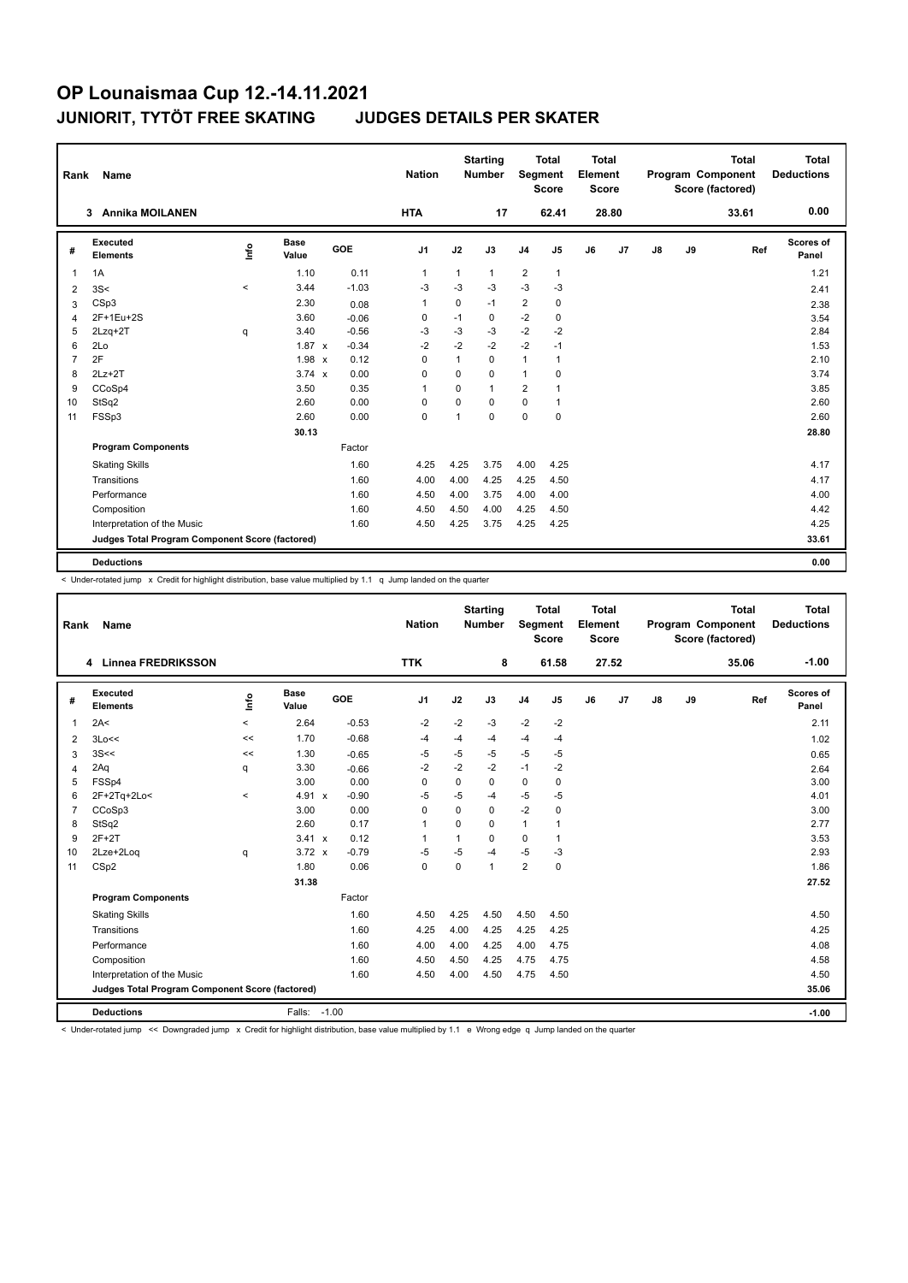| Rank           | Name                                            |         |                      |            | <b>Nation</b>  |              | <b>Starting</b><br><b>Number</b> | Segment        | Total<br><b>Score</b> | <b>Total</b><br>Element<br><b>Score</b> |                |               |    | <b>Total</b><br>Program Component<br>Score (factored) | <b>Total</b><br><b>Deductions</b> |
|----------------|-------------------------------------------------|---------|----------------------|------------|----------------|--------------|----------------------------------|----------------|-----------------------|-----------------------------------------|----------------|---------------|----|-------------------------------------------------------|-----------------------------------|
|                | <b>Annika MOILANEN</b><br>3                     |         |                      |            | <b>HTA</b>     |              | 17                               |                | 62.41                 |                                         | 28.80          |               |    | 33.61                                                 | 0.00                              |
| #              | Executed<br><b>Elements</b>                     | ١nf٥    | <b>Base</b><br>Value | <b>GOE</b> | J <sub>1</sub> | J2           | J3                               | J <sub>4</sub> | J5                    | J6                                      | J <sub>7</sub> | $\mathsf{J}8$ | J9 | Ref                                                   | Scores of<br>Panel                |
| 1              | 1A                                              |         | 1.10                 | 0.11       | $\mathbf{1}$   | $\mathbf{1}$ | $\mathbf{1}$                     | $\overline{2}$ | $\mathbf{1}$          |                                         |                |               |    |                                                       | 1.21                              |
| 2              | 3S<                                             | $\prec$ | 3.44                 | $-1.03$    | $-3$           | $-3$         | $-3$                             | $-3$           | $-3$                  |                                         |                |               |    |                                                       | 2.41                              |
| 3              | CSp3                                            |         | 2.30                 | 0.08       | $\overline{1}$ | 0            | $-1$                             | $\overline{2}$ | 0                     |                                         |                |               |    |                                                       | 2.38                              |
| 4              | 2F+1Eu+2S                                       |         | 3.60                 | $-0.06$    | 0              | $-1$         | 0                                | $-2$           | 0                     |                                         |                |               |    |                                                       | 3.54                              |
| 5              | $2Lzq+2T$                                       | q       | 3.40                 | $-0.56$    | $-3$           | $-3$         | $-3$                             | $-2$           | $-2$                  |                                         |                |               |    |                                                       | 2.84                              |
| 6              | 2Lo                                             |         | $1.87 \times$        | $-0.34$    | $-2$           | $-2$         | $-2$                             | $-2$           | $-1$                  |                                         |                |               |    |                                                       | 1.53                              |
| $\overline{7}$ | 2F                                              |         | 1.98 x               | 0.12       | 0              | 1            | $\Omega$                         | $\mathbf{1}$   | 1                     |                                         |                |               |    |                                                       | 2.10                              |
| 8              | $2Lz+2T$                                        |         | $3.74 \times$        | 0.00       | 0              | $\Omega$     | $\Omega$                         | $\mathbf{1}$   | 0                     |                                         |                |               |    |                                                       | 3.74                              |
| 9              | CCoSp4                                          |         | 3.50                 | 0.35       | 1              | 0            | $\mathbf{1}$                     | 2              | 1                     |                                         |                |               |    |                                                       | 3.85                              |
| 10             | StSq2                                           |         | 2.60                 | 0.00       | 0              | $\Omega$     | $\Omega$                         | $\mathbf 0$    | 1                     |                                         |                |               |    |                                                       | 2.60                              |
| 11             | FSSp3                                           |         | 2.60                 | 0.00       | $\mathbf 0$    | 1            | $\Omega$                         | $\mathbf 0$    | $\mathbf 0$           |                                         |                |               |    |                                                       | 2.60                              |
|                |                                                 |         | 30.13                |            |                |              |                                  |                |                       |                                         |                |               |    |                                                       | 28.80                             |
|                | <b>Program Components</b>                       |         |                      | Factor     |                |              |                                  |                |                       |                                         |                |               |    |                                                       |                                   |
|                | <b>Skating Skills</b>                           |         |                      | 1.60       | 4.25           | 4.25         | 3.75                             | 4.00           | 4.25                  |                                         |                |               |    |                                                       | 4.17                              |
|                | Transitions                                     |         |                      | 1.60       | 4.00           | 4.00         | 4.25                             | 4.25           | 4.50                  |                                         |                |               |    |                                                       | 4.17                              |
|                | Performance                                     |         |                      | 1.60       | 4.50           | 4.00         | 3.75                             | 4.00           | 4.00                  |                                         |                |               |    |                                                       | 4.00                              |
|                | Composition                                     |         |                      | 1.60       | 4.50           | 4.50         | 4.00                             | 4.25           | 4.50                  |                                         |                |               |    |                                                       | 4.42                              |
|                | Interpretation of the Music                     |         |                      | 1.60       | 4.50           | 4.25         | 3.75                             | 4.25           | 4.25                  |                                         |                |               |    |                                                       | 4.25                              |
|                | Judges Total Program Component Score (factored) |         |                      |            |                |              |                                  |                |                       |                                         |                |               |    |                                                       | 33.61                             |
|                | <b>Deductions</b>                               |         |                      |            |                |              |                                  |                |                       |                                         |                |               |    |                                                       | 0.00                              |

< Under-rotated jump x Credit for highlight distribution, base value multiplied by 1.1 q Jump landed on the quarter

| Rank           | <b>Name</b>                                     |         |                      |            | <b>Nation</b>  |             | <b>Starting</b><br><b>Number</b> | <b>Segment</b> | <b>Total</b><br><b>Score</b> | <b>Total</b><br>Element<br><b>Score</b> |                |    |    | <b>Total</b><br>Program Component<br>Score (factored) | Total<br><b>Deductions</b> |
|----------------|-------------------------------------------------|---------|----------------------|------------|----------------|-------------|----------------------------------|----------------|------------------------------|-----------------------------------------|----------------|----|----|-------------------------------------------------------|----------------------------|
|                | Linnea FREDRIKSSON<br>4                         |         |                      |            | <b>TTK</b>     |             | 8                                |                | 61.58                        |                                         | 27.52          |    |    | 35.06                                                 | $-1.00$                    |
| #              | Executed<br><b>Elements</b>                     | lnfo    | <b>Base</b><br>Value | <b>GOE</b> | J1             | J2          | J3                               | J <sub>4</sub> | J5                           | J6                                      | J <sub>7</sub> | J8 | J9 | Ref                                                   | <b>Scores of</b><br>Panel  |
| $\overline{1}$ | 2A<                                             | $\prec$ | 2.64                 | $-0.53$    | $-2$           | $-2$        | $-3$                             | $-2$           | $-2$                         |                                         |                |    |    |                                                       | 2.11                       |
| 2              | 3Lo<<                                           | <<      | 1.70                 | $-0.68$    | $-4$           | $-4$        | -4                               | $-4$           | $-4$                         |                                         |                |    |    |                                                       | 1.02                       |
| 3              | 3S<<                                            | <<      | 1.30                 | $-0.65$    | $-5$           | $-5$        | $-5$                             | $-5$           | $-5$                         |                                         |                |    |    |                                                       | 0.65                       |
| 4              | 2Aq                                             | q       | 3.30                 | $-0.66$    | $-2$           | $-2$        | $-2$                             | $-1$           | $-2$                         |                                         |                |    |    |                                                       | 2.64                       |
| 5              | FSSp4                                           |         | 3.00                 | 0.00       | $\mathbf 0$    | 0           | $\Omega$                         | $\pmb{0}$      | $\pmb{0}$                    |                                         |                |    |    |                                                       | 3.00                       |
| 6              | 2F+2Tq+2Lo<                                     | $\prec$ | 4.91 x               | $-0.90$    | $-5$           | $-5$        | -4                               | $-5$           | $-5$                         |                                         |                |    |    |                                                       | 4.01                       |
| $\overline{7}$ | CCoSp3                                          |         | 3.00                 | 0.00       | $\mathbf 0$    | $\Omega$    | 0                                | $-2$           | $\pmb{0}$                    |                                         |                |    |    |                                                       | 3.00                       |
| 8              | StSq2                                           |         | 2.60                 | 0.17       | $\overline{1}$ | $\Omega$    | $\Omega$                         | $\mathbf{1}$   | $\mathbf{1}$                 |                                         |                |    |    |                                                       | 2.77                       |
| 9              | $2F+2T$                                         |         | $3.41 \times$        | 0.12       | $\mathbf 1$    | 1           | $\Omega$                         | $\Omega$       | $\mathbf{1}$                 |                                         |                |    |    |                                                       | 3.53                       |
| 10             | 2Lze+2Log                                       | q       | $3.72 \times$        | $-0.79$    | $-5$           | $-5$        | $-4$                             | $-5$           | $-3$                         |                                         |                |    |    |                                                       | 2.93                       |
| 11             | CS <sub>p2</sub>                                |         | 1.80                 | 0.06       | $\mathbf 0$    | $\mathbf 0$ | 1                                | $\overline{2}$ | $\mathbf 0$                  |                                         |                |    |    |                                                       | 1.86                       |
|                |                                                 |         | 31.38                |            |                |             |                                  |                |                              |                                         |                |    |    |                                                       | 27.52                      |
|                | <b>Program Components</b>                       |         |                      | Factor     |                |             |                                  |                |                              |                                         |                |    |    |                                                       |                            |
|                | <b>Skating Skills</b>                           |         |                      | 1.60       | 4.50           | 4.25        | 4.50                             | 4.50           | 4.50                         |                                         |                |    |    |                                                       | 4.50                       |
|                | Transitions                                     |         |                      | 1.60       | 4.25           | 4.00        | 4.25                             | 4.25           | 4.25                         |                                         |                |    |    |                                                       | 4.25                       |
|                | Performance                                     |         |                      | 1.60       | 4.00           | 4.00        | 4.25                             | 4.00           | 4.75                         |                                         |                |    |    |                                                       | 4.08                       |
|                | Composition                                     |         |                      | 1.60       | 4.50           | 4.50        | 4.25                             | 4.75           | 4.75                         |                                         |                |    |    |                                                       | 4.58                       |
|                | Interpretation of the Music                     |         |                      | 1.60       | 4.50           | 4.00        | 4.50                             | 4.75           | 4.50                         |                                         |                |    |    |                                                       | 4.50                       |
|                | Judges Total Program Component Score (factored) |         |                      |            |                |             |                                  |                |                              |                                         |                |    |    |                                                       | 35.06                      |
|                | <b>Deductions</b>                               |         | Falls:               | $-1.00$    |                |             |                                  |                |                              |                                         |                |    |    |                                                       | $-1.00$                    |

< Under-rotated jump << Downgraded jump x Credit for highlight distribution, base value multiplied by 1.1 e Wrong edge q Jump landed on the quarter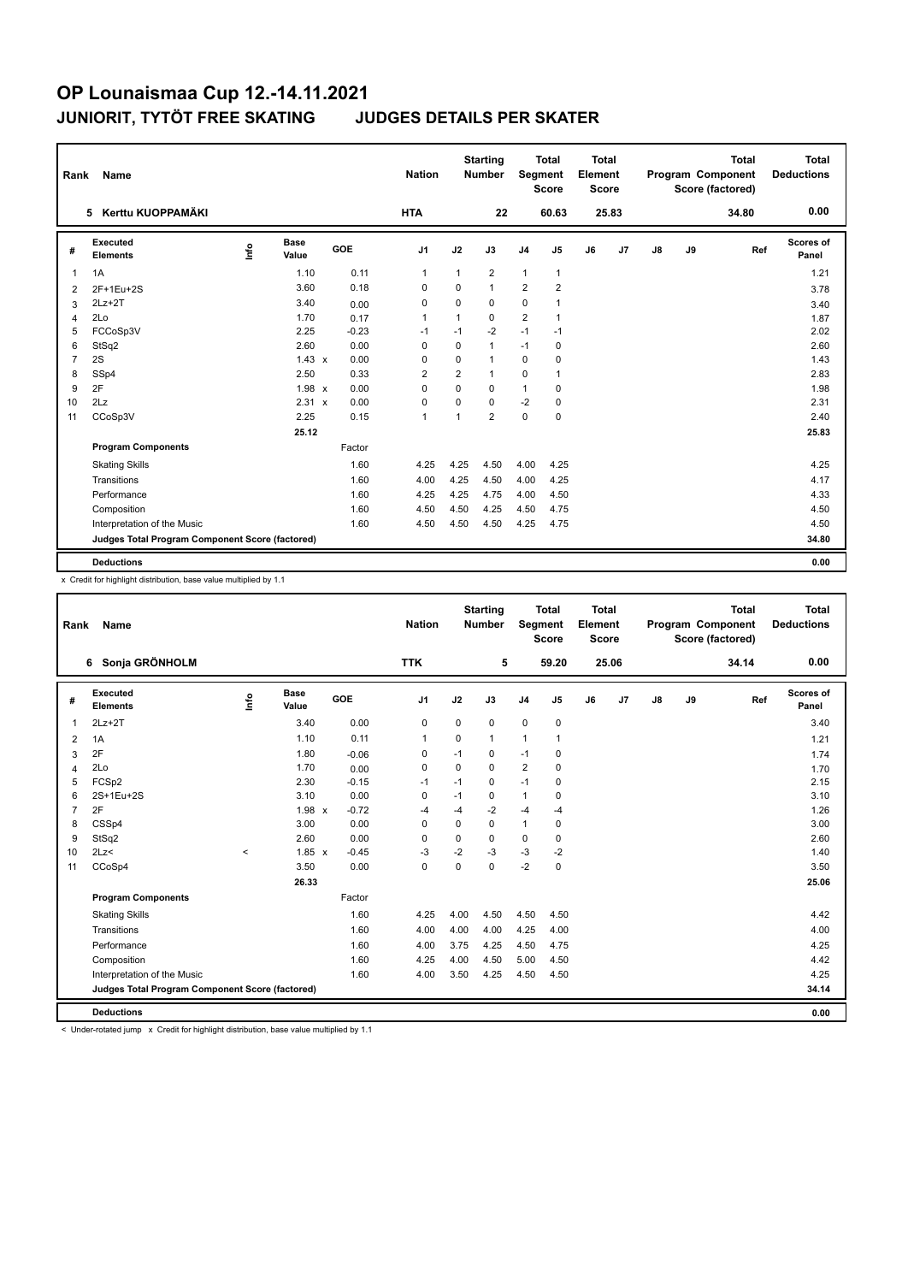| Rank           | <b>Name</b>                                     |      |                      |         | <b>Nation</b>  |                | <b>Starting</b><br>Number | Segment        | <b>Total</b><br><b>Score</b> | <b>Total</b><br>Element<br><b>Score</b> |       |    |    | <b>Total</b><br>Program Component<br>Score (factored) | Total<br><b>Deductions</b> |
|----------------|-------------------------------------------------|------|----------------------|---------|----------------|----------------|---------------------------|----------------|------------------------------|-----------------------------------------|-------|----|----|-------------------------------------------------------|----------------------------|
|                | Kerttu KUOPPAMÄKI<br>5.                         |      |                      |         | <b>HTA</b>     |                | 22                        |                | 60.63                        |                                         | 25.83 |    |    | 34.80                                                 | 0.00                       |
| #              | Executed<br><b>Elements</b>                     | lnfo | <b>Base</b><br>Value | GOE     | J <sub>1</sub> | J2             | J3                        | J <sub>4</sub> | J <sub>5</sub>               | J6                                      | J7    | J8 | J9 | Ref                                                   | <b>Scores of</b><br>Panel  |
| $\mathbf{1}$   | 1A                                              |      | 1.10                 | 0.11    | $\mathbf{1}$   | $\mathbf{1}$   | $\overline{2}$            | $\mathbf{1}$   | $\mathbf{1}$                 |                                         |       |    |    |                                                       | 1.21                       |
| 2              | 2F+1Eu+2S                                       |      | 3.60                 | 0.18    | $\Omega$       | $\Omega$       | 1                         | $\overline{2}$ | $\overline{2}$               |                                         |       |    |    |                                                       | 3.78                       |
| 3              | $2Lz+2T$                                        |      | 3.40                 | 0.00    | 0              | 0              | 0                         | 0              | 1                            |                                         |       |    |    |                                                       | 3.40                       |
| 4              | 2Lo                                             |      | 1.70                 | 0.17    | $\mathbf{1}$   | $\mathbf{1}$   | $\Omega$                  | $\overline{2}$ | $\mathbf{1}$                 |                                         |       |    |    |                                                       | 1.87                       |
| 5              | FCCoSp3V                                        |      | 2.25                 | $-0.23$ | -1             | $-1$           | $-2$                      | $-1$           | $-1$                         |                                         |       |    |    |                                                       | 2.02                       |
| 6              | StSq2                                           |      | 2.60                 | 0.00    | 0              | 0              | $\mathbf{1}$              | $-1$           | 0                            |                                         |       |    |    |                                                       | 2.60                       |
| $\overline{7}$ | 2S                                              |      | $1.43 \times$        | 0.00    | 0              | 0              | 1                         | 0              | 0                            |                                         |       |    |    |                                                       | 1.43                       |
| 8              | SSp4                                            |      | 2.50                 | 0.33    | $\overline{2}$ | $\overline{2}$ | $\mathbf{1}$              | $\Omega$       | 1                            |                                         |       |    |    |                                                       | 2.83                       |
| 9              | 2F                                              |      | 1.98 x               | 0.00    | $\Omega$       | $\Omega$       | $\Omega$                  | $\mathbf{1}$   | 0                            |                                         |       |    |    |                                                       | 1.98                       |
| 10             | 2Lz                                             |      | 2.31 x               | 0.00    | 0              | 0              | 0                         | $-2$           | 0                            |                                         |       |    |    |                                                       | 2.31                       |
| 11             | CCoSp3V                                         |      | 2.25                 | 0.15    | $\mathbf{1}$   | $\mathbf{1}$   | $\overline{2}$            | $\mathbf 0$    | $\mathbf 0$                  |                                         |       |    |    |                                                       | 2.40                       |
|                |                                                 |      | 25.12                |         |                |                |                           |                |                              |                                         |       |    |    |                                                       | 25.83                      |
|                | <b>Program Components</b>                       |      |                      | Factor  |                |                |                           |                |                              |                                         |       |    |    |                                                       |                            |
|                | <b>Skating Skills</b>                           |      |                      | 1.60    | 4.25           | 4.25           | 4.50                      | 4.00           | 4.25                         |                                         |       |    |    |                                                       | 4.25                       |
|                | Transitions                                     |      |                      | 1.60    | 4.00           | 4.25           | 4.50                      | 4.00           | 4.25                         |                                         |       |    |    |                                                       | 4.17                       |
|                | Performance                                     |      |                      | 1.60    | 4.25           | 4.25           | 4.75                      | 4.00           | 4.50                         |                                         |       |    |    |                                                       | 4.33                       |
|                | Composition                                     |      |                      | 1.60    | 4.50           | 4.50           | 4.25                      | 4.50           | 4.75                         |                                         |       |    |    |                                                       | 4.50                       |
|                | Interpretation of the Music                     |      |                      | 1.60    | 4.50           | 4.50           | 4.50                      | 4.25           | 4.75                         |                                         |       |    |    |                                                       | 4.50                       |
|                | Judges Total Program Component Score (factored) |      |                      |         |                |                |                           |                |                              |                                         |       |    |    |                                                       | 34.80                      |
|                | <b>Deductions</b>                               |      |                      |         |                |                |                           |                |                              |                                         |       |    |    |                                                       | 0.00                       |

x Credit for highlight distribution, base value multiplied by 1.1

| Rank | Name                                            |       |                      |         | <b>Nation</b>  |             | <b>Starting</b><br><b>Number</b> | Segment        | <b>Total</b><br><b>Score</b> | <b>Total</b><br>Element<br><b>Score</b> |       |               |    | <b>Total</b><br>Program Component<br>Score (factored) | <b>Total</b><br><b>Deductions</b> |
|------|-------------------------------------------------|-------|----------------------|---------|----------------|-------------|----------------------------------|----------------|------------------------------|-----------------------------------------|-------|---------------|----|-------------------------------------------------------|-----------------------------------|
|      | 6 Sonja GRÖNHOLM                                |       |                      |         | <b>TTK</b>     |             | 5                                |                | 59.20                        |                                         | 25.06 |               |    | 34.14                                                 | 0.00                              |
| #    | Executed<br><b>Elements</b>                     | Linfo | <b>Base</b><br>Value | GOE     | J <sub>1</sub> | J2          | J3                               | J <sub>4</sub> | J5                           | J6                                      | J7    | $\mathsf{J}8$ | J9 | Ref                                                   | Scores of<br>Panel                |
| 1    | $2Lz+2T$                                        |       | 3.40                 | 0.00    | 0              | $\mathbf 0$ | $\mathbf 0$                      | 0              | $\pmb{0}$                    |                                         |       |               |    |                                                       | 3.40                              |
| 2    | 1A                                              |       | 1.10                 | 0.11    | $\mathbf{1}$   | 0           | $\overline{1}$                   | 1              | $\mathbf{1}$                 |                                         |       |               |    |                                                       | 1.21                              |
| 3    | 2F                                              |       | 1.80                 | $-0.06$ | 0              | $-1$        | 0                                | $-1$           | 0                            |                                         |       |               |    |                                                       | 1.74                              |
| 4    | 2Lo                                             |       | 1.70                 | 0.00    | 0              | $\mathbf 0$ | 0                                | 2              | $\mathbf 0$                  |                                         |       |               |    |                                                       | 1.70                              |
| 5    | FCSp2                                           |       | 2.30                 | $-0.15$ | $-1$           | $-1$        | 0                                | $-1$           | 0                            |                                         |       |               |    |                                                       | 2.15                              |
| 6    | 2S+1Eu+2S                                       |       | 3.10                 | 0.00    | 0              | $-1$        | 0                                | 1              | $\mathbf 0$                  |                                         |       |               |    |                                                       | 3.10                              |
| 7    | 2F                                              |       | 1.98 x               | $-0.72$ | $-4$           | $-4$        | $-2$                             | $-4$           | $-4$                         |                                         |       |               |    |                                                       | 1.26                              |
| 8    | CSSp4                                           |       | 3.00                 | 0.00    | 0              | $\mathbf 0$ | 0                                | 1              | 0                            |                                         |       |               |    |                                                       | 3.00                              |
| 9    | StSq2                                           |       | 2.60                 | 0.00    | 0              | $\mathbf 0$ | 0                                | 0              | $\mathbf 0$                  |                                         |       |               |    |                                                       | 2.60                              |
| 10   | 2Lz                                             | $\,<$ | $1.85 \times$        | $-0.45$ | $-3$           | $-2$        | $-3$                             | $-3$           | $-2$                         |                                         |       |               |    |                                                       | 1.40                              |
| 11   | CCoSp4                                          |       | 3.50                 | 0.00    | 0              | $\pmb{0}$   | $\mathbf 0$                      | $-2$           | $\pmb{0}$                    |                                         |       |               |    |                                                       | 3.50                              |
|      |                                                 |       | 26.33                |         |                |             |                                  |                |                              |                                         |       |               |    |                                                       | 25.06                             |
|      | <b>Program Components</b>                       |       |                      | Factor  |                |             |                                  |                |                              |                                         |       |               |    |                                                       |                                   |
|      | <b>Skating Skills</b>                           |       |                      | 1.60    | 4.25           | 4.00        | 4.50                             | 4.50           | 4.50                         |                                         |       |               |    |                                                       | 4.42                              |
|      | Transitions                                     |       |                      | 1.60    | 4.00           | 4.00        | 4.00                             | 4.25           | 4.00                         |                                         |       |               |    |                                                       | 4.00                              |
|      | Performance                                     |       |                      | 1.60    | 4.00           | 3.75        | 4.25                             | 4.50           | 4.75                         |                                         |       |               |    |                                                       | 4.25                              |
|      | Composition                                     |       |                      | 1.60    | 4.25           | 4.00        | 4.50                             | 5.00           | 4.50                         |                                         |       |               |    |                                                       | 4.42                              |
|      | Interpretation of the Music                     |       |                      | 1.60    | 4.00           | 3.50        | 4.25                             | 4.50           | 4.50                         |                                         |       |               |    |                                                       | 4.25                              |
|      | Judges Total Program Component Score (factored) |       |                      |         |                |             |                                  |                |                              |                                         |       |               |    |                                                       | 34.14                             |
|      | <b>Deductions</b>                               |       |                      |         |                |             |                                  |                |                              |                                         |       |               |    |                                                       | 0.00                              |

< Under-rotated jump x Credit for highlight distribution, base value multiplied by 1.1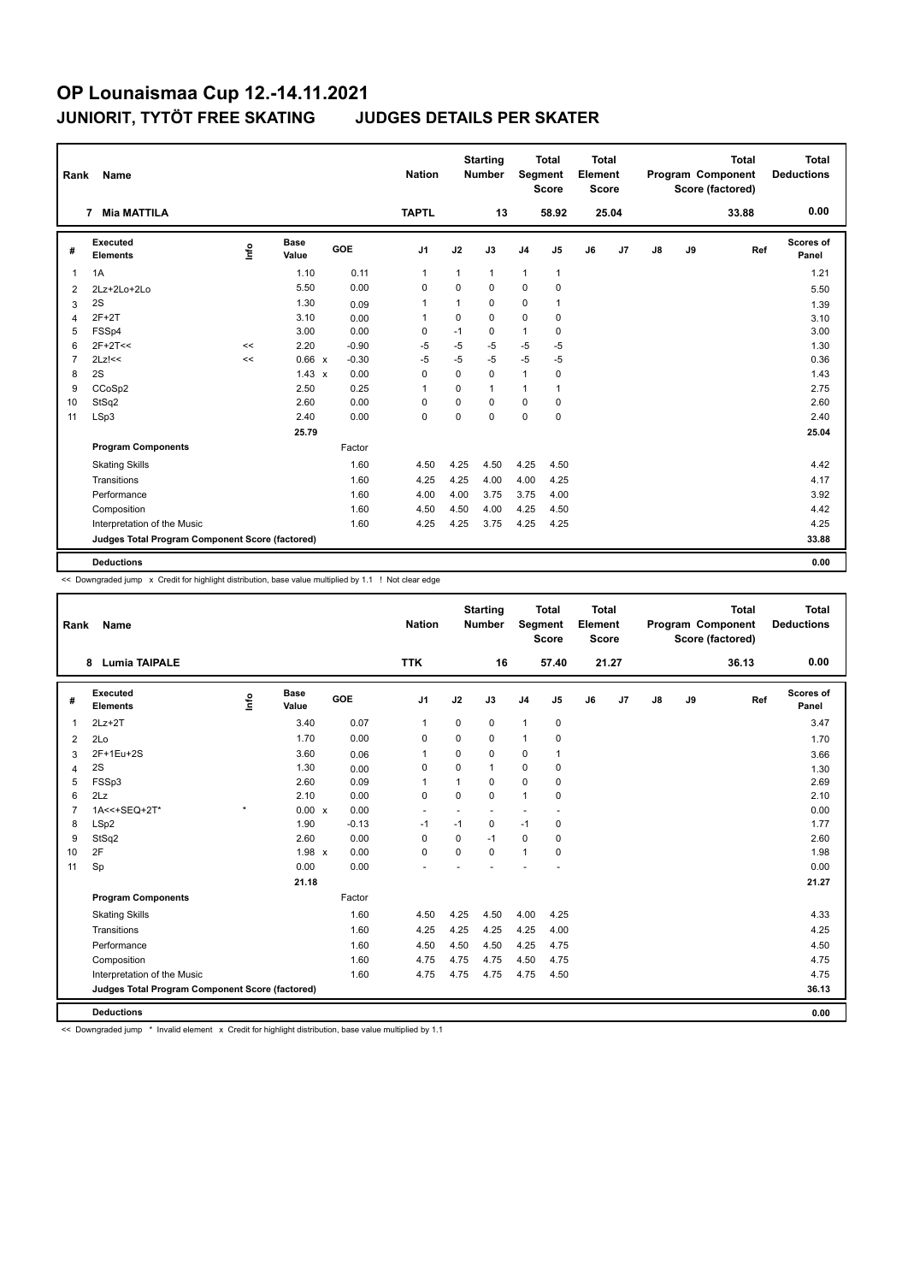| Rank           | Name                                            |               |                      |         | <b>Nation</b>  |              | <b>Starting</b><br>Number | <b>Segment</b> | <b>Total</b><br><b>Score</b> | <b>Total</b><br>Element<br>Score |       |    |    | <b>Total</b><br>Program Component<br>Score (factored) | Total<br><b>Deductions</b> |
|----------------|-------------------------------------------------|---------------|----------------------|---------|----------------|--------------|---------------------------|----------------|------------------------------|----------------------------------|-------|----|----|-------------------------------------------------------|----------------------------|
|                | <b>Mia MATTILA</b><br>7                         |               |                      |         | <b>TAPTL</b>   |              | 13                        |                | 58.92                        |                                  | 25.04 |    |    | 33.88                                                 | 0.00                       |
| #              | Executed<br><b>Elements</b>                     | $\frac{6}{2}$ | <b>Base</b><br>Value | GOE     | J <sub>1</sub> | J2           | J3                        | J <sub>4</sub> | J <sub>5</sub>               | J6                               | J7    | J8 | J9 | Ref                                                   | Scores of<br>Panel         |
| 1              | 1A                                              |               | 1.10                 | 0.11    | $\mathbf{1}$   | $\mathbf{1}$ | $\mathbf{1}$              | $\mathbf{1}$   | $\mathbf{1}$                 |                                  |       |    |    |                                                       | 1.21                       |
| 2              | 2Lz+2Lo+2Lo                                     |               | 5.50                 | 0.00    | 0              | $\Omega$     | $\Omega$                  | $\mathbf 0$    | $\mathbf 0$                  |                                  |       |    |    |                                                       | 5.50                       |
| 3              | 2S                                              |               | 1.30                 | 0.09    | $\mathbf{1}$   | 1            | 0                         | 0              | 1                            |                                  |       |    |    |                                                       | 1.39                       |
| 4              | $2F+2T$                                         |               | 3.10                 | 0.00    | -1             | $\Omega$     | $\Omega$                  | $\mathbf 0$    | 0                            |                                  |       |    |    |                                                       | 3.10                       |
| 5              | FSSp4                                           |               | 3.00                 | 0.00    | 0              | $-1$         | 0                         | $\mathbf{1}$   | 0                            |                                  |       |    |    |                                                       | 3.00                       |
| 6              | $2F+2T<<$                                       | <<            | 2.20                 | $-0.90$ | $-5$           | $-5$         | $-5$                      | $-5$           | $-5$                         |                                  |       |    |    |                                                       | 1.30                       |
| $\overline{7}$ | $2Lz$ !<<                                       | $\prec$       | 0.66 x               | $-0.30$ | $-5$           | $-5$         | $-5$                      | $-5$           | $-5$                         |                                  |       |    |    |                                                       | 0.36                       |
| 8              | 2S                                              |               | $1.43 \times$        | 0.00    | 0              | $\Omega$     | $\Omega$                  | $\mathbf{1}$   | 0                            |                                  |       |    |    |                                                       | 1.43                       |
| 9              | CCoSp2                                          |               | 2.50                 | 0.25    | 1              | $\Omega$     | $\mathbf{1}$              | 1              | 1                            |                                  |       |    |    |                                                       | 2.75                       |
| 10             | StSq2                                           |               | 2.60                 | 0.00    | 0              | 0            | $\Omega$                  | 0              | 0                            |                                  |       |    |    |                                                       | 2.60                       |
| 11             | LSp3                                            |               | 2.40                 | 0.00    | 0              | 0            | $\Omega$                  | $\mathbf 0$    | $\mathbf 0$                  |                                  |       |    |    |                                                       | 2.40                       |
|                |                                                 |               | 25.79                |         |                |              |                           |                |                              |                                  |       |    |    |                                                       | 25.04                      |
|                | <b>Program Components</b>                       |               |                      | Factor  |                |              |                           |                |                              |                                  |       |    |    |                                                       |                            |
|                | <b>Skating Skills</b>                           |               |                      | 1.60    | 4.50           | 4.25         | 4.50                      | 4.25           | 4.50                         |                                  |       |    |    |                                                       | 4.42                       |
|                | Transitions                                     |               |                      | 1.60    | 4.25           | 4.25         | 4.00                      | 4.00           | 4.25                         |                                  |       |    |    |                                                       | 4.17                       |
|                | Performance                                     |               |                      | 1.60    | 4.00           | 4.00         | 3.75                      | 3.75           | 4.00                         |                                  |       |    |    |                                                       | 3.92                       |
|                | Composition                                     |               |                      | 1.60    | 4.50           | 4.50         | 4.00                      | 4.25           | 4.50                         |                                  |       |    |    |                                                       | 4.42                       |
|                | Interpretation of the Music                     |               |                      | 1.60    | 4.25           | 4.25         | 3.75                      | 4.25           | 4.25                         |                                  |       |    |    |                                                       | 4.25                       |
|                | Judges Total Program Component Score (factored) |               |                      |         |                |              |                           |                |                              |                                  |       |    |    |                                                       | 33.88                      |
|                | <b>Deductions</b>                               |               |                      |         |                |              |                           |                |                              |                                  |       |    |    |                                                       | 0.00                       |

<< Downgraded jump x Credit for highlight distribution, base value multiplied by 1.1 ! Not clear edge

| Rank           | Name                                            |         |                      |         | <b>Nation</b>  |             | <b>Starting</b><br><b>Number</b> | Segment        | <b>Total</b><br><b>Score</b> | <b>Total</b><br>Element<br><b>Score</b> |       |               |    | <b>Total</b><br>Program Component<br>Score (factored) | Total<br><b>Deductions</b> |
|----------------|-------------------------------------------------|---------|----------------------|---------|----------------|-------------|----------------------------------|----------------|------------------------------|-----------------------------------------|-------|---------------|----|-------------------------------------------------------|----------------------------|
|                | <b>Lumia TAIPALE</b><br>8                       |         |                      |         | <b>TTK</b>     |             | 16                               |                | 57.40                        |                                         | 21.27 |               |    | 36.13                                                 | 0.00                       |
| #              | Executed<br><b>Elements</b>                     | lnfo    | <b>Base</b><br>Value | GOE     | J <sub>1</sub> | J2          | J3                               | J <sub>4</sub> | J5                           | J6                                      | J7    | $\mathsf{J}8$ | J9 | Ref                                                   | Scores of<br>Panel         |
| $\mathbf{1}$   | $2Lz + 2T$                                      |         | 3.40                 | 0.07    | $\mathbf{1}$   | $\mathbf 0$ | 0                                | $\mathbf{1}$   | $\mathbf 0$                  |                                         |       |               |    |                                                       | 3.47                       |
| 2              | 2Lo                                             |         | 1.70                 | 0.00    | $\Omega$       | $\Omega$    | 0                                | $\mathbf{1}$   | 0                            |                                         |       |               |    |                                                       | 1.70                       |
| 3              | 2F+1Eu+2S                                       |         | 3.60                 | 0.06    | $\mathbf{1}$   | $\Omega$    | 0                                | 0              | $\mathbf{1}$                 |                                         |       |               |    |                                                       | 3.66                       |
| 4              | 2S                                              |         | 1.30                 | 0.00    | $\mathbf 0$    | $\Omega$    | 1                                | $\mathbf 0$    | $\mathbf 0$                  |                                         |       |               |    |                                                       | 1.30                       |
| 5              | FSSp3                                           |         | 2.60                 | 0.09    | $\mathbf{1}$   | 1           | 0                                | $\mathbf 0$    | $\mathbf 0$                  |                                         |       |               |    |                                                       | 2.69                       |
| 6              | 2Lz                                             |         | 2.10                 | 0.00    | $\mathbf 0$    | $\mathbf 0$ | 0                                | $\mathbf{1}$   | 0                            |                                         |       |               |    |                                                       | 2.10                       |
| $\overline{7}$ | 1A<<+SEQ+2T*                                    | $\star$ | 0.00 x               | 0.00    | ٠              |             | $\overline{a}$                   | ٠              |                              |                                         |       |               |    |                                                       | 0.00                       |
| 8              | LSp2                                            |         | 1.90                 | $-0.13$ | $-1$           | $-1$        | 0                                | $-1$           | 0                            |                                         |       |               |    |                                                       | 1.77                       |
| 9              | StSq2                                           |         | 2.60                 | 0.00    | 0              | 0           | $-1$                             | 0              | 0                            |                                         |       |               |    |                                                       | 2.60                       |
| 10             | 2F                                              |         | $1.98 \times$        | 0.00    | 0              | $\Omega$    | 0                                | $\mathbf{1}$   | 0                            |                                         |       |               |    |                                                       | 1.98                       |
| 11             | Sp                                              |         | 0.00                 | 0.00    |                |             |                                  |                |                              |                                         |       |               |    |                                                       | 0.00                       |
|                |                                                 |         | 21.18                |         |                |             |                                  |                |                              |                                         |       |               |    |                                                       | 21.27                      |
|                | <b>Program Components</b>                       |         |                      | Factor  |                |             |                                  |                |                              |                                         |       |               |    |                                                       |                            |
|                | <b>Skating Skills</b>                           |         |                      | 1.60    | 4.50           | 4.25        | 4.50                             | 4.00           | 4.25                         |                                         |       |               |    |                                                       | 4.33                       |
|                | Transitions                                     |         |                      | 1.60    | 4.25           | 4.25        | 4.25                             | 4.25           | 4.00                         |                                         |       |               |    |                                                       | 4.25                       |
|                | Performance                                     |         |                      | 1.60    | 4.50           | 4.50        | 4.50                             | 4.25           | 4.75                         |                                         |       |               |    |                                                       | 4.50                       |
|                | Composition                                     |         |                      | 1.60    | 4.75           | 4.75        | 4.75                             | 4.50           | 4.75                         |                                         |       |               |    |                                                       | 4.75                       |
|                | Interpretation of the Music                     |         |                      | 1.60    | 4.75           | 4.75        | 4.75                             | 4.75           | 4.50                         |                                         |       |               |    |                                                       | 4.75                       |
|                | Judges Total Program Component Score (factored) |         |                      |         |                |             |                                  |                |                              |                                         |       |               |    |                                                       | 36.13                      |
|                | <b>Deductions</b>                               |         |                      |         |                |             |                                  |                |                              |                                         |       |               |    |                                                       | 0.00                       |

<< Downgraded jump \* Invalid element x Credit for highlight distribution, base value multiplied by 1.1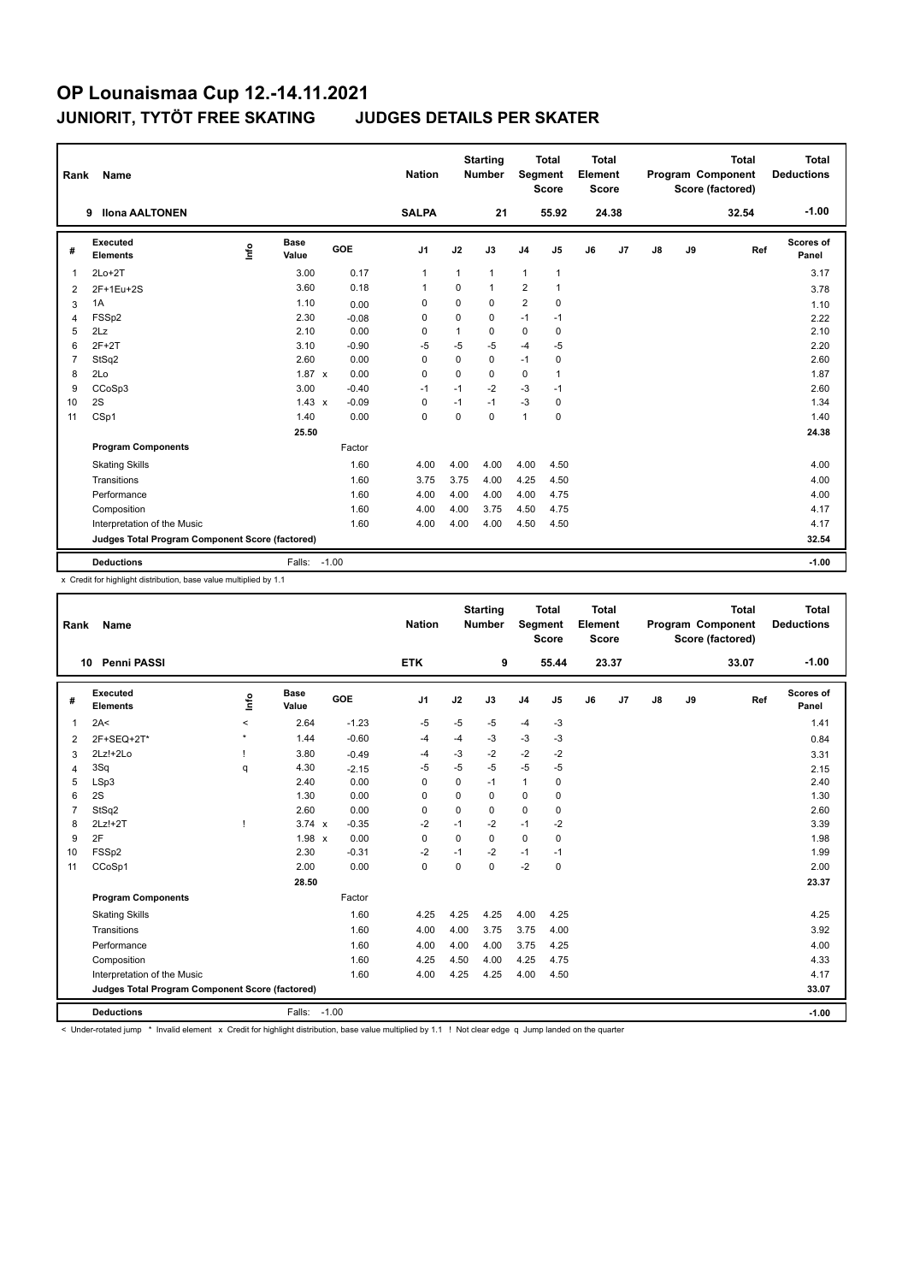| Rank           | Name                                            |      |                      |         | <b>Nation</b>  |              | <b>Starting</b><br><b>Number</b> |                | <b>Total</b><br><b>Segment</b><br><b>Score</b> | <b>Total</b><br>Element<br><b>Score</b> |       |    |    | <b>Total</b><br>Program Component<br>Score (factored) | <b>Total</b><br><b>Deductions</b> |
|----------------|-------------------------------------------------|------|----------------------|---------|----------------|--------------|----------------------------------|----------------|------------------------------------------------|-----------------------------------------|-------|----|----|-------------------------------------------------------|-----------------------------------|
|                | <b>Ilona AALTONEN</b><br>9                      |      |                      |         | <b>SALPA</b>   |              | 21                               |                | 55.92                                          |                                         | 24.38 |    |    | 32.54                                                 | $-1.00$                           |
| #              | <b>Executed</b><br><b>Elements</b>              | ١nf٥ | <b>Base</b><br>Value | GOE     | J <sub>1</sub> | J2           | J3                               | J <sub>4</sub> | J5                                             | J6                                      | J7    | J8 | J9 | Ref                                                   | <b>Scores of</b><br>Panel         |
| 1              | $2Lo+2T$                                        |      | 3.00                 | 0.17    | $\mathbf{1}$   | $\mathbf{1}$ | $\mathbf{1}$                     | $\mathbf{1}$   | $\mathbf{1}$                                   |                                         |       |    |    |                                                       | 3.17                              |
| $\overline{2}$ | 2F+1Eu+2S                                       |      | 3.60                 | 0.18    | $\overline{1}$ | $\Omega$     | $\mathbf{1}$                     | $\overline{2}$ | $\mathbf{1}$                                   |                                         |       |    |    |                                                       | 3.78                              |
| 3              | 1A                                              |      | 1.10                 | 0.00    | 0              | $\mathbf 0$  | 0                                | $\overline{2}$ | $\mathbf 0$                                    |                                         |       |    |    |                                                       | 1.10                              |
| $\overline{4}$ | FSS <sub>p2</sub>                               |      | 2.30                 | $-0.08$ | 0              | $\mathbf 0$  | 0                                | $-1$           | $-1$                                           |                                         |       |    |    |                                                       | 2.22                              |
| 5              | 2Lz                                             |      | 2.10                 | 0.00    | 0              | 1            | 0                                | $\mathbf 0$    | 0                                              |                                         |       |    |    |                                                       | 2.10                              |
| 6              | $2F+2T$                                         |      | 3.10                 | $-0.90$ | $-5$           | $-5$         | $-5$                             | $-4$           | -5                                             |                                         |       |    |    |                                                       | 2.20                              |
| $\overline{7}$ | StSq2                                           |      | 2.60                 | 0.00    | 0              | $\mathbf 0$  | $\mathbf 0$                      | $-1$           | $\mathbf 0$                                    |                                         |       |    |    |                                                       | 2.60                              |
| 8              | 2Lo                                             |      | $1.87 \times$        | 0.00    | 0              | $\mathbf 0$  | 0                                | $\mathbf 0$    | $\mathbf{1}$                                   |                                         |       |    |    |                                                       | 1.87                              |
| 9              | CCoSp3                                          |      | 3.00                 | $-0.40$ | $-1$           | $-1$         | $-2$                             | $-3$           | $-1$                                           |                                         |       |    |    |                                                       | 2.60                              |
| 10             | 2S                                              |      | $1.43 \times$        | $-0.09$ | $\Omega$       | $-1$         | $-1$                             | $-3$           | 0                                              |                                         |       |    |    |                                                       | 1.34                              |
| 11             | CSp1                                            |      | 1.40                 | 0.00    | $\mathbf 0$    | $\mathbf 0$  | $\mathbf 0$                      | 1              | $\mathbf 0$                                    |                                         |       |    |    |                                                       | 1.40                              |
|                |                                                 |      | 25.50                |         |                |              |                                  |                |                                                |                                         |       |    |    |                                                       | 24.38                             |
|                | <b>Program Components</b>                       |      |                      | Factor  |                |              |                                  |                |                                                |                                         |       |    |    |                                                       |                                   |
|                | <b>Skating Skills</b>                           |      |                      | 1.60    | 4.00           | 4.00         | 4.00                             | 4.00           | 4.50                                           |                                         |       |    |    |                                                       | 4.00                              |
|                | Transitions                                     |      |                      | 1.60    | 3.75           | 3.75         | 4.00                             | 4.25           | 4.50                                           |                                         |       |    |    |                                                       | 4.00                              |
|                | Performance                                     |      |                      | 1.60    | 4.00           | 4.00         | 4.00                             | 4.00           | 4.75                                           |                                         |       |    |    |                                                       | 4.00                              |
|                | Composition                                     |      |                      | 1.60    | 4.00           | 4.00         | 3.75                             | 4.50           | 4.75                                           |                                         |       |    |    |                                                       | 4.17                              |
|                | Interpretation of the Music                     |      |                      | 1.60    | 4.00           | 4.00         | 4.00                             | 4.50           | 4.50                                           |                                         |       |    |    |                                                       | 4.17                              |
|                | Judges Total Program Component Score (factored) |      |                      |         |                |              |                                  |                |                                                |                                         |       |    |    |                                                       | 32.54                             |
|                | <b>Deductions</b>                               |      | Falls:               | $-1.00$ |                |              |                                  |                |                                                |                                         |       |    |    |                                                       | $-1.00$                           |

x Credit for highlight distribution, base value multiplied by 1.1

| Rank           | Name                                            |         |                      |            | <b>Nation</b> |          | <b>Starting</b><br><b>Number</b> | Segment        | <b>Total</b><br><b>Score</b> | <b>Total</b><br>Element<br><b>Score</b> |       |               |    | <b>Total</b><br>Program Component<br>Score (factored) | <b>Total</b><br><b>Deductions</b> |
|----------------|-------------------------------------------------|---------|----------------------|------------|---------------|----------|----------------------------------|----------------|------------------------------|-----------------------------------------|-------|---------------|----|-------------------------------------------------------|-----------------------------------|
| 10             | Penni PASSI                                     |         |                      |            | <b>ETK</b>    |          | 9                                |                | 55.44                        |                                         | 23.37 |               |    | 33.07                                                 | $-1.00$                           |
| #              | Executed<br><b>Elements</b>                     | ١nf٥    | <b>Base</b><br>Value | <b>GOE</b> | J1            | J2       | J3                               | J <sub>4</sub> | J5                           | J6                                      | J7    | $\mathsf{J}8$ | J9 | Ref                                                   | Scores of<br>Panel                |
| 1              | 2A<                                             | $\prec$ | 2.64                 | $-1.23$    | -5            | $-5$     | $-5$                             | $-4$           | $-3$                         |                                         |       |               |    |                                                       | 1.41                              |
| 2              | 2F+SEQ+2T*                                      | $\star$ | 1.44                 | $-0.60$    | $-4$          | -4       | $-3$                             | -3             | $-3$                         |                                         |       |               |    |                                                       | 0.84                              |
| 3              | 2Lz!+2Lo                                        |         | 3.80                 | $-0.49$    | -4            | $-3$     | $-2$                             | $-2$           | $-2$                         |                                         |       |               |    |                                                       | 3.31                              |
| 4              | 3Sq                                             | q       | 4.30                 | $-2.15$    | $-5$          | $-5$     | $-5$                             | $-5$           | $-5$                         |                                         |       |               |    |                                                       | 2.15                              |
| 5              | LSp3                                            |         | 2.40                 | 0.00       | 0             | 0        | $-1$                             | $\mathbf{1}$   | 0                            |                                         |       |               |    |                                                       | 2.40                              |
| 6              | 2S                                              |         | 1.30                 | 0.00       | 0             | 0        | 0                                | 0              | 0                            |                                         |       |               |    |                                                       | 1.30                              |
| $\overline{7}$ | StSq2                                           |         | 2.60                 | 0.00       | $\mathbf 0$   | $\Omega$ | $\Omega$                         | $\mathbf 0$    | $\mathbf 0$                  |                                         |       |               |    |                                                       | 2.60                              |
| 8              | 2Lz!+2T                                         | ı       | $3.74 \times$        | $-0.35$    | $-2$          | $-1$     | $-2$                             | $-1$           | $-2$                         |                                         |       |               |    |                                                       | 3.39                              |
| 9              | 2F                                              |         | $1.98 \times$        | 0.00       | 0             | 0        | 0                                | $\mathbf 0$    | 0                            |                                         |       |               |    |                                                       | 1.98                              |
| 10             | FSSp2                                           |         | 2.30                 | $-0.31$    | -2            | $-1$     | $-2$                             | $-1$           | $-1$                         |                                         |       |               |    |                                                       | 1.99                              |
| 11             | CCoSp1                                          |         | 2.00                 | 0.00       | $\mathbf 0$   | 0        | 0                                | $-2$           | $\mathbf 0$                  |                                         |       |               |    |                                                       | 2.00                              |
|                |                                                 |         | 28.50                |            |               |          |                                  |                |                              |                                         |       |               |    |                                                       | 23.37                             |
|                | <b>Program Components</b>                       |         |                      | Factor     |               |          |                                  |                |                              |                                         |       |               |    |                                                       |                                   |
|                | <b>Skating Skills</b>                           |         |                      | 1.60       | 4.25          | 4.25     | 4.25                             | 4.00           | 4.25                         |                                         |       |               |    |                                                       | 4.25                              |
|                | Transitions                                     |         |                      | 1.60       | 4.00          | 4.00     | 3.75                             | 3.75           | 4.00                         |                                         |       |               |    |                                                       | 3.92                              |
|                | Performance                                     |         |                      | 1.60       | 4.00          | 4.00     | 4.00                             | 3.75           | 4.25                         |                                         |       |               |    |                                                       | 4.00                              |
|                | Composition                                     |         |                      | 1.60       | 4.25          | 4.50     | 4.00                             | 4.25           | 4.75                         |                                         |       |               |    |                                                       | 4.33                              |
|                | Interpretation of the Music                     |         |                      | 1.60       | 4.00          | 4.25     | 4.25                             | 4.00           | 4.50                         |                                         |       |               |    |                                                       | 4.17                              |
|                | Judges Total Program Component Score (factored) |         |                      |            |               |          |                                  |                |                              |                                         |       |               |    |                                                       | 33.07                             |
|                | <b>Deductions</b>                               |         | Falls:               | $-1.00$    |               |          |                                  |                |                              |                                         |       |               |    |                                                       | $-1.00$                           |

< Under-rotated jump \* Invalid element x Credit for highlight distribution, base value multiplied by 1.1 ! Not clear edge q Jump landed on the quarter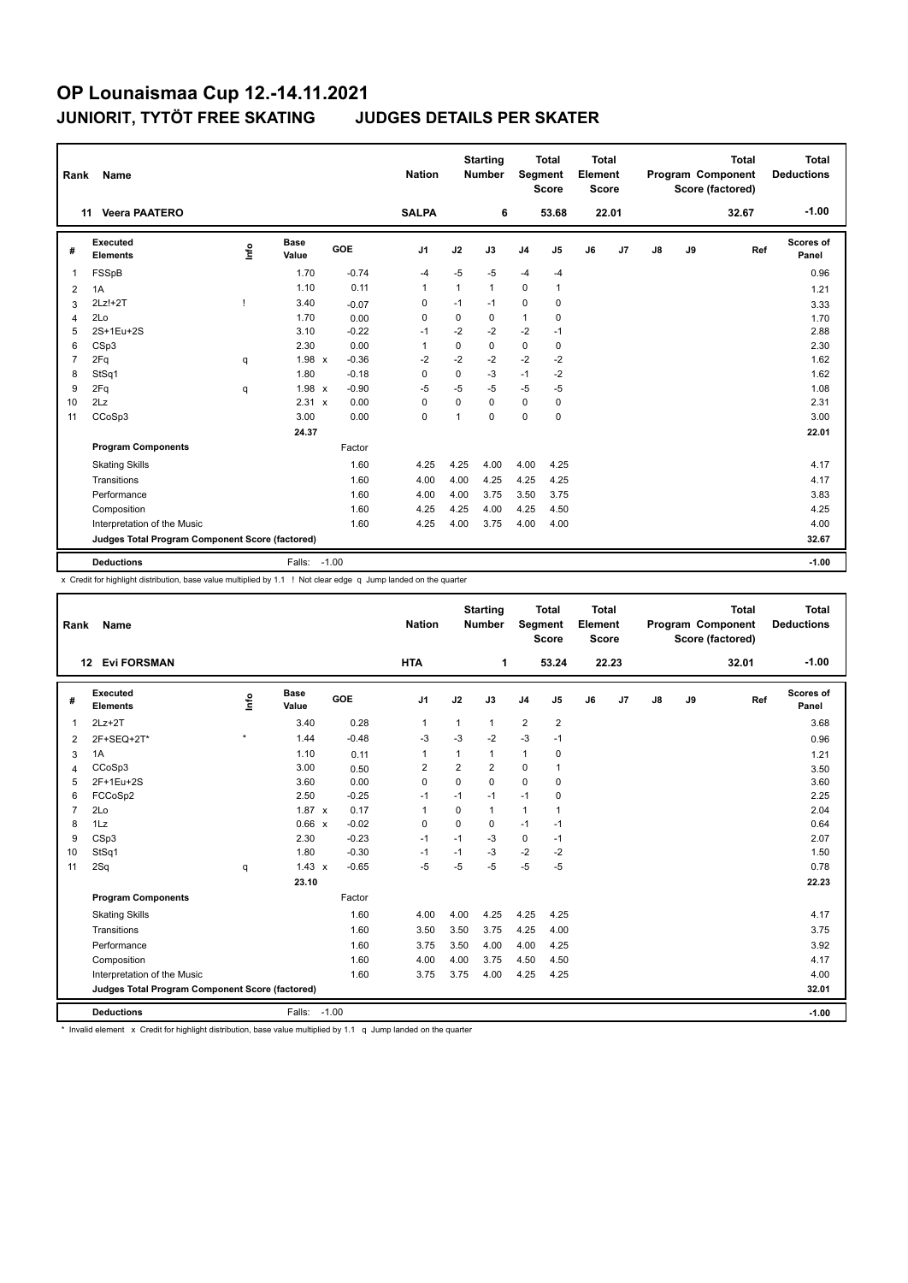| Rank           | Name                                            |      |                      |         | <b>Nation</b>  |              | <b>Starting</b><br><b>Number</b> |                | <b>Total</b><br>Segment<br><b>Score</b> | <b>Total</b><br>Element<br><b>Score</b> |       |    |    | <b>Total</b><br>Program Component<br>Score (factored) | <b>Total</b><br><b>Deductions</b> |
|----------------|-------------------------------------------------|------|----------------------|---------|----------------|--------------|----------------------------------|----------------|-----------------------------------------|-----------------------------------------|-------|----|----|-------------------------------------------------------|-----------------------------------|
|                | <b>Veera PAATERO</b><br>11                      |      |                      |         | <b>SALPA</b>   |              | 6                                |                | 53.68                                   |                                         | 22.01 |    |    | 32.67                                                 | $-1.00$                           |
| #              | Executed<br><b>Elements</b>                     | ١nf٥ | <b>Base</b><br>Value | GOE     | J <sub>1</sub> | J2           | J3                               | J <sub>4</sub> | J5                                      | J6                                      | J7    | J8 | J9 | Ref                                                   | Scores of<br>Panel                |
| 1              | FSSpB                                           |      | 1.70                 | $-0.74$ | $-4$           | $-5$         | -5                               | $-4$           | $-4$                                    |                                         |       |    |    |                                                       | 0.96                              |
| 2              | 1A                                              |      | 1.10                 | 0.11    | $\overline{1}$ | $\mathbf{1}$ | 1                                | 0              | $\mathbf{1}$                            |                                         |       |    |    |                                                       | 1.21                              |
| 3              | $2Lz!+2T$                                       | ı    | 3.40                 | $-0.07$ | 0              | $-1$         | $-1$                             | $\mathbf 0$    | 0                                       |                                         |       |    |    |                                                       | 3.33                              |
| 4              | 2Lo                                             |      | 1.70                 | 0.00    | 0              | 0            | 0                                | 1              | 0                                       |                                         |       |    |    |                                                       | 1.70                              |
| 5              | 2S+1Eu+2S                                       |      | 3.10                 | $-0.22$ | $-1$           | $-2$         | $-2$                             | $-2$           | $-1$                                    |                                         |       |    |    |                                                       | 2.88                              |
| 6              | CSp3                                            |      | 2.30                 | 0.00    | $\overline{1}$ | $\mathbf 0$  | 0                                | 0              | 0                                       |                                         |       |    |    |                                                       | 2.30                              |
| $\overline{7}$ | 2Fq                                             | q    | 1.98 x               | $-0.36$ | $-2$           | $-2$         | $-2$                             | $-2$           | $-2$                                    |                                         |       |    |    |                                                       | 1.62                              |
| 8              | StSq1                                           |      | 1.80                 | $-0.18$ | 0              | 0            | $-3$                             | $-1$           | $-2$                                    |                                         |       |    |    |                                                       | 1.62                              |
| 9              | 2Fq                                             | q    | 1.98 x               | $-0.90$ | $-5$           | $-5$         | $-5$                             | $-5$           | $-5$                                    |                                         |       |    |    |                                                       | 1.08                              |
| 10             | 2Lz                                             |      | 2.31 x               | 0.00    | 0              | $\Omega$     | $\Omega$                         | 0              | 0                                       |                                         |       |    |    |                                                       | 2.31                              |
| 11             | CCoSp3                                          |      | 3.00                 | 0.00    | $\mathbf 0$    | 1            | $\Omega$                         | 0              | $\mathbf 0$                             |                                         |       |    |    |                                                       | 3.00                              |
|                |                                                 |      | 24.37                |         |                |              |                                  |                |                                         |                                         |       |    |    |                                                       | 22.01                             |
|                | <b>Program Components</b>                       |      |                      | Factor  |                |              |                                  |                |                                         |                                         |       |    |    |                                                       |                                   |
|                | <b>Skating Skills</b>                           |      |                      | 1.60    | 4.25           | 4.25         | 4.00                             | 4.00           | 4.25                                    |                                         |       |    |    |                                                       | 4.17                              |
|                | Transitions                                     |      |                      | 1.60    | 4.00           | 4.00         | 4.25                             | 4.25           | 4.25                                    |                                         |       |    |    |                                                       | 4.17                              |
|                | Performance                                     |      |                      | 1.60    | 4.00           | 4.00         | 3.75                             | 3.50           | 3.75                                    |                                         |       |    |    |                                                       | 3.83                              |
|                | Composition                                     |      |                      | 1.60    | 4.25           | 4.25         | 4.00                             | 4.25           | 4.50                                    |                                         |       |    |    |                                                       | 4.25                              |
|                | Interpretation of the Music                     |      |                      | 1.60    | 4.25           | 4.00         | 3.75                             | 4.00           | 4.00                                    |                                         |       |    |    |                                                       | 4.00                              |
|                | Judges Total Program Component Score (factored) |      |                      |         |                |              |                                  |                |                                         |                                         |       |    |    |                                                       | 32.67                             |
|                | <b>Deductions</b>                               |      | Falls:               | $-1.00$ |                |              |                                  |                |                                         |                                         |       |    |    |                                                       | $-1.00$                           |

x Credit for highlight distribution, base value multiplied by 1.1 ! Not clear edge q Jump landed on the quarter

| Rank           | Name                                            |         |                      |         | <b>Nation</b>  |                | <b>Starting</b><br><b>Number</b> | Segment        | <b>Total</b><br><b>Score</b> | <b>Total</b><br>Element<br><b>Score</b> |       |    |    | <b>Total</b><br>Program Component<br>Score (factored) | <b>Total</b><br><b>Deductions</b> |
|----------------|-------------------------------------------------|---------|----------------------|---------|----------------|----------------|----------------------------------|----------------|------------------------------|-----------------------------------------|-------|----|----|-------------------------------------------------------|-----------------------------------|
|                | <b>Evi FORSMAN</b><br>12                        |         |                      |         | <b>HTA</b>     |                | 1                                |                | 53.24                        |                                         | 22.23 |    |    | 32.01                                                 | $-1.00$                           |
| #              | Executed<br><b>Elements</b>                     | ١nf٥    | <b>Base</b><br>Value | GOE     | J <sub>1</sub> | J2             | J3                               | J <sub>4</sub> | J5                           | J6                                      | J7    | J8 | J9 | Ref                                                   | Scores of<br>Panel                |
| 1              | $2Lz+2T$                                        |         | 3.40                 | 0.28    | $\mathbf{1}$   | $\mathbf{1}$   | $\mathbf{1}$                     | $\overline{2}$ | $\overline{2}$               |                                         |       |    |    |                                                       | 3.68                              |
| $\overline{2}$ | 2F+SEQ+2T*                                      | $\star$ | 1.44                 | $-0.48$ | -3             | $-3$           | $-2$                             | $-3$           | $-1$                         |                                         |       |    |    |                                                       | 0.96                              |
| 3              | 1A                                              |         | 1.10                 | 0.11    | $\overline{1}$ | $\mathbf{1}$   | $\mathbf{1}$                     | 1              | $\pmb{0}$                    |                                         |       |    |    |                                                       | 1.21                              |
| 4              | CCoSp3                                          |         | 3.00                 | 0.50    | $\overline{2}$ | $\overline{2}$ | $\overline{2}$                   | 0              | $\overline{1}$               |                                         |       |    |    |                                                       | 3.50                              |
| 5              | 2F+1Eu+2S                                       |         | 3.60                 | 0.00    | $\Omega$       | $\Omega$       | $\Omega$                         | $\Omega$       | 0                            |                                         |       |    |    |                                                       | 3.60                              |
| 6              | FCCoSp2                                         |         | 2.50                 | $-0.25$ | $-1$           | $-1$           | $-1$                             | $-1$           | 0                            |                                         |       |    |    |                                                       | 2.25                              |
| $\overline{7}$ | 2Lo                                             |         | $1.87 \times$        | 0.17    | $\overline{1}$ | $\Omega$       | $\mathbf{1}$                     | $\mathbf{1}$   | $\overline{1}$               |                                         |       |    |    |                                                       | 2.04                              |
| 8              | 1Lz                                             |         | 0.66 x               | $-0.02$ | 0              | $\mathbf 0$    | 0                                | $-1$           | $-1$                         |                                         |       |    |    |                                                       | 0.64                              |
| 9              | CSp3                                            |         | 2.30                 | $-0.23$ | $-1$           | $-1$           | $-3$                             | 0              | $-1$                         |                                         |       |    |    |                                                       | 2.07                              |
| 10             | StSq1                                           |         | 1.80                 | $-0.30$ | $-1$           | $-1$           | $-3$                             | $-2$           | $-2$                         |                                         |       |    |    |                                                       | 1.50                              |
| 11             | 2Sq                                             | q       | $1.43 \times$        | $-0.65$ | $-5$           | $-5$           | $-5$                             | $-5$           | $-5$                         |                                         |       |    |    |                                                       | 0.78                              |
|                |                                                 |         | 23.10                |         |                |                |                                  |                |                              |                                         |       |    |    |                                                       | 22.23                             |
|                | <b>Program Components</b>                       |         |                      | Factor  |                |                |                                  |                |                              |                                         |       |    |    |                                                       |                                   |
|                | <b>Skating Skills</b>                           |         |                      | 1.60    | 4.00           | 4.00           | 4.25                             | 4.25           | 4.25                         |                                         |       |    |    |                                                       | 4.17                              |
|                | Transitions                                     |         |                      | 1.60    | 3.50           | 3.50           | 3.75                             | 4.25           | 4.00                         |                                         |       |    |    |                                                       | 3.75                              |
|                | Performance                                     |         |                      | 1.60    | 3.75           | 3.50           | 4.00                             | 4.00           | 4.25                         |                                         |       |    |    |                                                       | 3.92                              |
|                | Composition                                     |         |                      | 1.60    | 4.00           | 4.00           | 3.75                             | 4.50           | 4.50                         |                                         |       |    |    |                                                       | 4.17                              |
|                | Interpretation of the Music                     |         |                      | 1.60    | 3.75           | 3.75           | 4.00                             | 4.25           | 4.25                         |                                         |       |    |    |                                                       | 4.00                              |
|                | Judges Total Program Component Score (factored) |         |                      |         |                |                |                                  |                |                              |                                         |       |    |    |                                                       | 32.01                             |
|                | <b>Deductions</b>                               |         | Falls:               | $-1.00$ |                |                |                                  |                |                              |                                         |       |    |    |                                                       | $-1.00$                           |

\* Invalid element x Credit for highlight distribution, base value multiplied by 1.1 q Jump landed on the quarter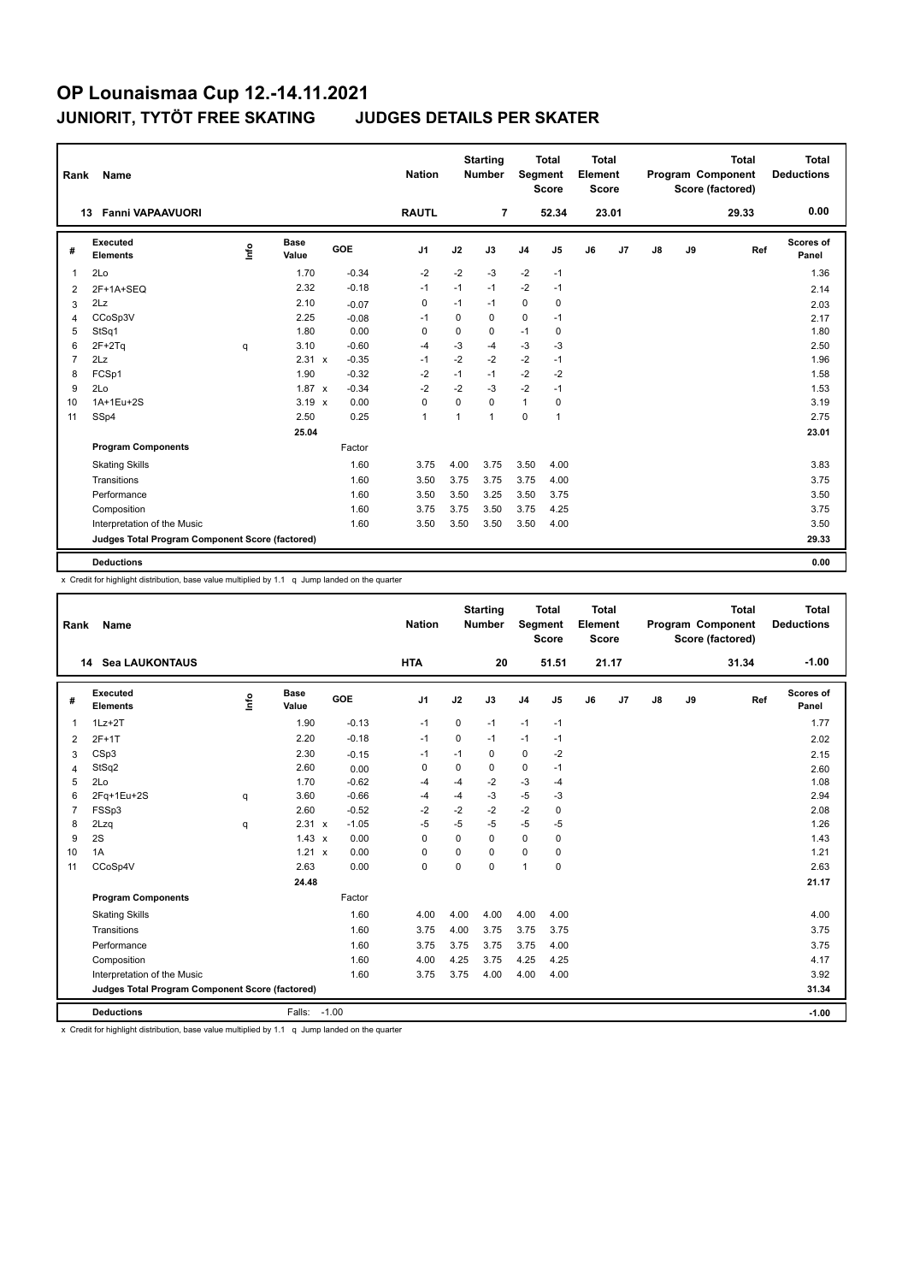| Rank            | <b>Name</b>                                     |                         |                      |         | <b>Nation</b>  |          | <b>Starting</b><br><b>Number</b> | Segment        | <b>Total</b><br><b>Score</b> | <b>Total</b><br>Element<br>Score |                |               |    | <b>Total</b><br>Program Component<br>Score (factored) | <b>Total</b><br><b>Deductions</b> |
|-----------------|-------------------------------------------------|-------------------------|----------------------|---------|----------------|----------|----------------------------------|----------------|------------------------------|----------------------------------|----------------|---------------|----|-------------------------------------------------------|-----------------------------------|
|                 | <b>Fanni VAPAAVUORI</b><br>13                   |                         |                      |         | <b>RAUTL</b>   |          | $\overline{7}$                   |                | 52.34                        |                                  | 23.01          |               |    | 29.33                                                 | 0.00                              |
| #               | Executed<br><b>Elements</b>                     | $\mathsf{f}^\mathsf{o}$ | <b>Base</b><br>Value | GOE     | J <sub>1</sub> | J2       | J3                               | J <sub>4</sub> | J <sub>5</sub>               | J6                               | J <sub>7</sub> | $\mathsf{J}8$ | J9 | Ref                                                   | Scores of<br>Panel                |
| $\mathbf{1}$    | 2Lo                                             |                         | 1.70                 | $-0.34$ | $-2$           | $-2$     | $-3$                             | $-2$           | $-1$                         |                                  |                |               |    |                                                       | 1.36                              |
| 2               | $2F+1A+SEQ$                                     |                         | 2.32                 | $-0.18$ | $-1$           | $-1$     | $-1$                             | $-2$           | $-1$                         |                                  |                |               |    |                                                       | 2.14                              |
| 3               | 2Lz                                             |                         | 2.10                 | $-0.07$ | 0              | $-1$     | $-1$                             | 0              | 0                            |                                  |                |               |    |                                                       | 2.03                              |
| 4               | CCoSp3V                                         |                         | 2.25                 | $-0.08$ | $-1$           | 0        | 0                                | $\mathbf 0$    | $-1$                         |                                  |                |               |    |                                                       | 2.17                              |
| 5               | StSq1                                           |                         | 1.80                 | 0.00    | 0              | 0        | 0                                | $-1$           | 0                            |                                  |                |               |    |                                                       | 1.80                              |
| 6               | $2F+2Tq$                                        | q                       | 3.10                 | $-0.60$ | $-4$           | $-3$     | $-4$                             | $-3$           | $-3$                         |                                  |                |               |    |                                                       | 2.50                              |
| $\overline{7}$  | 2Lz                                             |                         | 2.31 x               | $-0.35$ | $-1$           | $-2$     | $-2$                             | $-2$           | $-1$                         |                                  |                |               |    |                                                       | 1.96                              |
| 8               | FCSp1                                           |                         | 1.90                 | $-0.32$ | $-2$           | $-1$     | $-1$                             | $-2$           | $-2$                         |                                  |                |               |    |                                                       | 1.58                              |
| 9               | 2Lo                                             |                         | $1.87 \times$        | $-0.34$ | $-2$           | $-2$     | $-3$                             | $-2$           | $-1$                         |                                  |                |               |    |                                                       | 1.53                              |
| 10 <sup>1</sup> | 1A+1Eu+2S                                       |                         | $3.19 \times$        | 0.00    | 0              | $\Omega$ | 0                                | $\mathbf{1}$   | 0                            |                                  |                |               |    |                                                       | 3.19                              |
| 11              | SSp4                                            |                         | 2.50                 | 0.25    | $\mathbf{1}$   | 1        | 1                                | $\mathbf 0$    | $\mathbf{1}$                 |                                  |                |               |    |                                                       | 2.75                              |
|                 |                                                 |                         | 25.04                |         |                |          |                                  |                |                              |                                  |                |               |    |                                                       | 23.01                             |
|                 | <b>Program Components</b>                       |                         |                      | Factor  |                |          |                                  |                |                              |                                  |                |               |    |                                                       |                                   |
|                 | <b>Skating Skills</b>                           |                         |                      | 1.60    | 3.75           | 4.00     | 3.75                             | 3.50           | 4.00                         |                                  |                |               |    |                                                       | 3.83                              |
|                 | Transitions                                     |                         |                      | 1.60    | 3.50           | 3.75     | 3.75                             | 3.75           | 4.00                         |                                  |                |               |    |                                                       | 3.75                              |
|                 | Performance                                     |                         |                      | 1.60    | 3.50           | 3.50     | 3.25                             | 3.50           | 3.75                         |                                  |                |               |    |                                                       | 3.50                              |
|                 | Composition                                     |                         |                      | 1.60    | 3.75           | 3.75     | 3.50                             | 3.75           | 4.25                         |                                  |                |               |    |                                                       | 3.75                              |
|                 | Interpretation of the Music                     |                         |                      | 1.60    | 3.50           | 3.50     | 3.50                             | 3.50           | 4.00                         |                                  |                |               |    |                                                       | 3.50                              |
|                 | Judges Total Program Component Score (factored) |                         |                      |         |                |          |                                  |                |                              |                                  |                |               |    |                                                       | 29.33                             |
|                 | <b>Deductions</b>                               |                         |                      |         |                |          |                                  |                |                              |                                  |                |               |    |                                                       | 0.00                              |

x Credit for highlight distribution, base value multiplied by 1.1 q Jump landed on the quarter

| Rank           | Name                                            |                                  |                      |         | <b>Nation</b>  |             | <b>Starting</b><br><b>Number</b> | Segment        | <b>Total</b><br><b>Score</b> | Total<br>Element<br><b>Score</b> |       |    |    | <b>Total</b><br>Program Component<br>Score (factored) | Total<br><b>Deductions</b> |
|----------------|-------------------------------------------------|----------------------------------|----------------------|---------|----------------|-------------|----------------------------------|----------------|------------------------------|----------------------------------|-------|----|----|-------------------------------------------------------|----------------------------|
|                | <b>14 Sea LAUKONTAUS</b>                        |                                  |                      |         | <b>HTA</b>     |             | 20                               |                | 51.51                        |                                  | 21.17 |    |    | 31.34                                                 | $-1.00$                    |
| #              | Executed<br><b>Elements</b>                     | $\mathop{\mathsf{Int}}\nolimits$ | <b>Base</b><br>Value | GOE     | J <sub>1</sub> | J2          | J3                               | J <sub>4</sub> | J5                           | J6                               | J7    | J8 | J9 | Ref                                                   | Scores of<br>Panel         |
| $\overline{1}$ | $1Lz + 2T$                                      |                                  | 1.90                 | $-0.13$ | $-1$           | $\mathbf 0$ | $-1$                             | $-1$           | $-1$                         |                                  |       |    |    |                                                       | 1.77                       |
| 2              | $2F+1T$                                         |                                  | 2.20                 | $-0.18$ | $-1$           | $\Omega$    | $-1$                             | $-1$           | $-1$                         |                                  |       |    |    |                                                       | 2.02                       |
| 3              | CSp3                                            |                                  | 2.30                 | $-0.15$ | $-1$           | $-1$        | 0                                | $\Omega$       | $-2$                         |                                  |       |    |    |                                                       | 2.15                       |
| 4              | StSq2                                           |                                  | 2.60                 | 0.00    | 0              | $\Omega$    | 0                                | $\mathbf 0$    | $-1$                         |                                  |       |    |    |                                                       | 2.60                       |
| 5              | 2Lo                                             |                                  | 1.70                 | $-0.62$ | -4             | $-4$        | $-2$                             | $-3$           | $-4$                         |                                  |       |    |    |                                                       | 1.08                       |
| 6              | 2Fq+1Eu+2S                                      | q                                | 3.60                 | $-0.66$ | -4             | $-4$        | $-3$                             | -5             | $-3$                         |                                  |       |    |    |                                                       | 2.94                       |
| $\overline{7}$ | FSSp3                                           |                                  | 2.60                 | $-0.52$ | $-2$           | $-2$        | $-2$                             | $-2$           | 0                            |                                  |       |    |    |                                                       | 2.08                       |
| 8              | 2Lzq                                            | q                                | 2.31 x               | $-1.05$ | $-5$           | $-5$        | $-5$                             | -5             | $-5$                         |                                  |       |    |    |                                                       | 1.26                       |
| 9              | 2S                                              |                                  | $1.43 \times$        | 0.00    | $\Omega$       | $\Omega$    | $\Omega$                         | $\Omega$       | 0                            |                                  |       |    |    |                                                       | 1.43                       |
| 10             | 1A                                              |                                  | 1.21 x               | 0.00    | $\Omega$       | $\Omega$    | $\Omega$                         | $\Omega$       | $\mathbf 0$                  |                                  |       |    |    |                                                       | 1.21                       |
| 11             | CCoSp4V                                         |                                  | 2.63                 | 0.00    | $\mathbf 0$    | $\Omega$    | $\Omega$                         | $\overline{1}$ | $\mathbf 0$                  |                                  |       |    |    |                                                       | 2.63                       |
|                |                                                 |                                  | 24.48                |         |                |             |                                  |                |                              |                                  |       |    |    |                                                       | 21.17                      |
|                | <b>Program Components</b>                       |                                  |                      | Factor  |                |             |                                  |                |                              |                                  |       |    |    |                                                       |                            |
|                | <b>Skating Skills</b>                           |                                  |                      | 1.60    | 4.00           | 4.00        | 4.00                             | 4.00           | 4.00                         |                                  |       |    |    |                                                       | 4.00                       |
|                | Transitions                                     |                                  |                      | 1.60    | 3.75           | 4.00        | 3.75                             | 3.75           | 3.75                         |                                  |       |    |    |                                                       | 3.75                       |
|                | Performance                                     |                                  |                      | 1.60    | 3.75           | 3.75        | 3.75                             | 3.75           | 4.00                         |                                  |       |    |    |                                                       | 3.75                       |
|                | Composition                                     |                                  |                      | 1.60    | 4.00           | 4.25        | 3.75                             | 4.25           | 4.25                         |                                  |       |    |    |                                                       | 4.17                       |
|                | Interpretation of the Music                     |                                  |                      | 1.60    | 3.75           | 3.75        | 4.00                             | 4.00           | 4.00                         |                                  |       |    |    |                                                       | 3.92                       |
|                | Judges Total Program Component Score (factored) |                                  |                      |         |                |             |                                  |                |                              |                                  |       |    |    |                                                       | 31.34                      |
|                | <b>Deductions</b>                               |                                  | Falls: -1.00         |         |                |             |                                  |                |                              |                                  |       |    |    |                                                       | $-1.00$                    |

x Credit for highlight distribution, base value multiplied by 1.1 q Jump landed on the quarter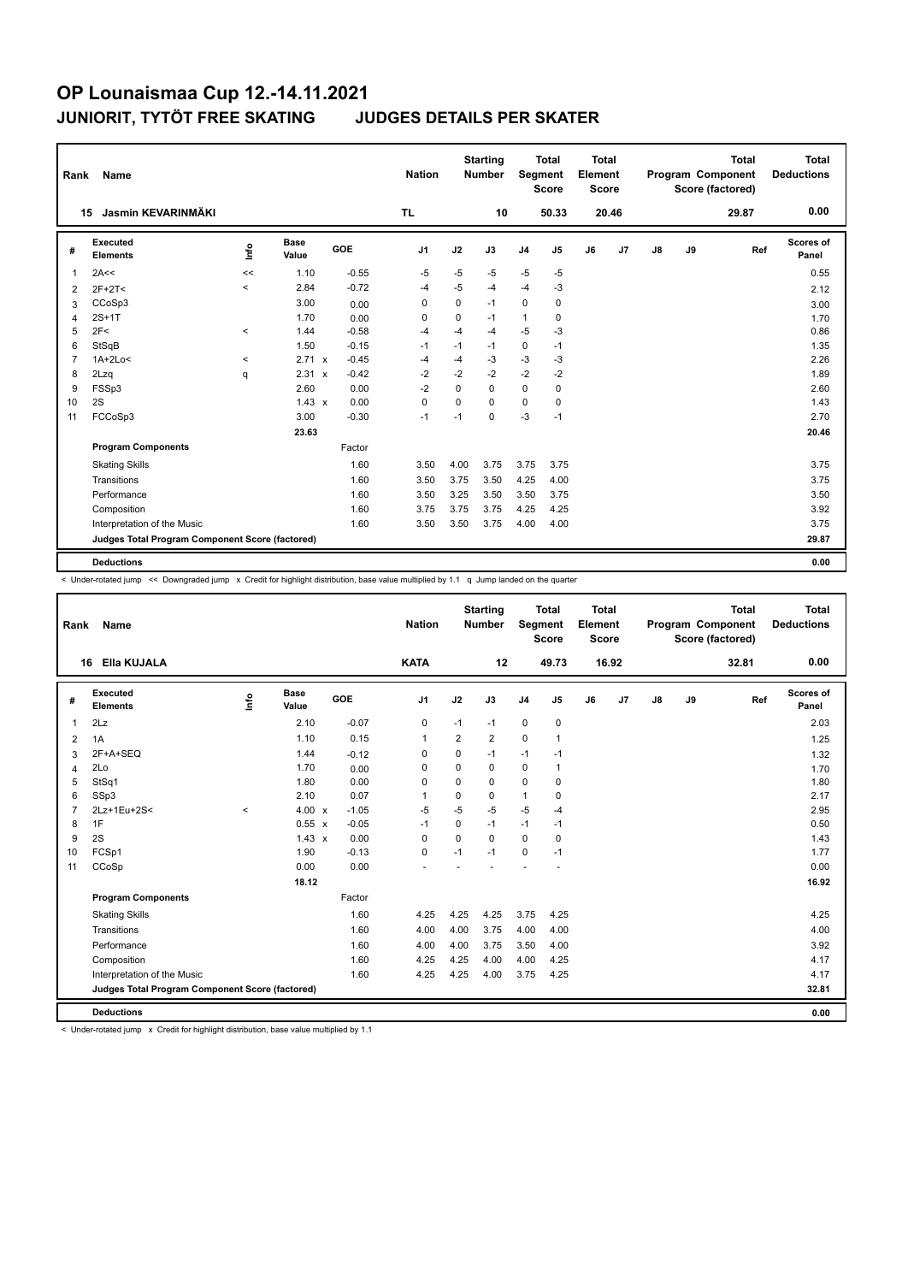| Rank           | <b>Name</b>                                     |          |               |         | <b>Nation</b>  |             | <b>Starting</b><br><b>Number</b> | Segment        | <b>Total</b><br><b>Score</b> | <b>Total</b><br>Element<br><b>Score</b> |       |    |    | <b>Total</b><br>Program Component<br>Score (factored) | <b>Total</b><br><b>Deductions</b> |
|----------------|-------------------------------------------------|----------|---------------|---------|----------------|-------------|----------------------------------|----------------|------------------------------|-----------------------------------------|-------|----|----|-------------------------------------------------------|-----------------------------------|
|                | Jasmin KEVARINMÄKI<br>15                        |          |               |         | <b>TL</b>      |             | 10                               |                | 50.33                        |                                         | 20.46 |    |    | 29.87                                                 | 0.00                              |
| #              | Executed<br><b>Elements</b>                     | lnfo     | Base<br>Value | GOE     | J <sub>1</sub> | J2          | J3                               | J <sub>4</sub> | J5                           | J6                                      | J7    | J8 | J9 | Ref                                                   | Scores of<br>Panel                |
| $\overline{1}$ | 2A<<                                            | <<       | 1.10          | $-0.55$ | $-5$           | $-5$        | $-5$                             | $-5$           | $-5$                         |                                         |       |    |    |                                                       | 0.55                              |
| 2              | $2F+2T<$                                        | $\,<$    | 2.84          | $-0.72$ | -4             | $-5$        | $-4$                             | $-4$           | $-3$                         |                                         |       |    |    |                                                       | 2.12                              |
| 3              | CCoSp3                                          |          | 3.00          | 0.00    | 0              | 0           | $-1$                             | 0              | 0                            |                                         |       |    |    |                                                       | 3.00                              |
| $\overline{4}$ | $2S+1T$                                         |          | 1.70          | 0.00    | $\mathbf 0$    | $\mathbf 0$ | $-1$                             | $\mathbf{1}$   | 0                            |                                         |       |    |    |                                                       | 1.70                              |
| 5              | 2F<                                             | $\hat{}$ | 1.44          | $-0.58$ | -4             | $-4$        | $-4$                             | $-5$           | $-3$                         |                                         |       |    |    |                                                       | 0.86                              |
| 6              | StSqB                                           |          | 1.50          | $-0.15$ | $-1$           | $-1$        | $-1$                             | $\mathbf 0$    | $-1$                         |                                         |       |    |    |                                                       | 1.35                              |
| $\overline{7}$ | $1A+2Lo<$                                       | $\prec$  | 2.71 x        | $-0.45$ | -4             | $-4$        | $-3$                             | $-3$           | $-3$                         |                                         |       |    |    |                                                       | 2.26                              |
| 8              | 2Lzq                                            | q        | 2.31 x        | $-0.42$ | $-2$           | $-2$        | $-2$                             | $-2$           | $-2$                         |                                         |       |    |    |                                                       | 1.89                              |
| 9              | FSSp3                                           |          | 2.60          | 0.00    | $-2$           | $\Omega$    | 0                                | $\mathbf 0$    | $\mathbf 0$                  |                                         |       |    |    |                                                       | 2.60                              |
| 10             | 2S                                              |          | $1.43 \times$ | 0.00    | $\mathbf 0$    | $\Omega$    | $\Omega$                         | $\mathbf 0$    | 0                            |                                         |       |    |    |                                                       | 1.43                              |
| 11             | FCCoSp3                                         |          | 3.00          | $-0.30$ | $-1$           | $-1$        | 0                                | $-3$           | $-1$                         |                                         |       |    |    |                                                       | 2.70                              |
|                |                                                 |          | 23.63         |         |                |             |                                  |                |                              |                                         |       |    |    |                                                       | 20.46                             |
|                | <b>Program Components</b>                       |          |               | Factor  |                |             |                                  |                |                              |                                         |       |    |    |                                                       |                                   |
|                | <b>Skating Skills</b>                           |          |               | 1.60    | 3.50           | 4.00        | 3.75                             | 3.75           | 3.75                         |                                         |       |    |    |                                                       | 3.75                              |
|                | Transitions                                     |          |               | 1.60    | 3.50           | 3.75        | 3.50                             | 4.25           | 4.00                         |                                         |       |    |    |                                                       | 3.75                              |
|                | Performance                                     |          |               | 1.60    | 3.50           | 3.25        | 3.50                             | 3.50           | 3.75                         |                                         |       |    |    |                                                       | 3.50                              |
|                | Composition                                     |          |               | 1.60    | 3.75           | 3.75        | 3.75                             | 4.25           | 4.25                         |                                         |       |    |    |                                                       | 3.92                              |
|                | Interpretation of the Music                     |          |               | 1.60    | 3.50           | 3.50        | 3.75                             | 4.00           | 4.00                         |                                         |       |    |    |                                                       | 3.75                              |
|                | Judges Total Program Component Score (factored) |          |               |         |                |             |                                  |                |                              |                                         |       |    |    |                                                       | 29.87                             |
|                | <b>Deductions</b>                               |          |               |         |                |             |                                  |                |                              |                                         |       |    |    |                                                       | 0.00                              |

< Under-rotated jump << Downgraded jump x Credit for highlight distribution, base value multiplied by 1.1 q Jump landed on the quarter

| Rank           | Name                                            |         |                      |            | <b>Nation</b>  |                | <b>Starting</b><br><b>Number</b> | Segment        | <b>Total</b><br><b>Score</b> | Total<br>Element<br><b>Score</b> |       |    |    | <b>Total</b><br>Program Component<br>Score (factored) | Total<br><b>Deductions</b> |
|----------------|-------------------------------------------------|---------|----------------------|------------|----------------|----------------|----------------------------------|----------------|------------------------------|----------------------------------|-------|----|----|-------------------------------------------------------|----------------------------|
|                | Ella KUJALA<br>16                               |         |                      |            | <b>KATA</b>    |                | 12                               |                | 49.73                        |                                  | 16.92 |    |    | 32.81                                                 | 0.00                       |
| #              | Executed<br><b>Elements</b>                     | e       | <b>Base</b><br>Value | <b>GOE</b> | J <sub>1</sub> | J2             | J3                               | J <sub>4</sub> | J5                           | J6                               | J7    | J8 | J9 | Ref                                                   | <b>Scores of</b><br>Panel  |
| $\mathbf{1}$   | 2Lz                                             |         | 2.10                 | $-0.07$    | 0              | $-1$           | $-1$                             | $\mathbf 0$    | $\mathbf 0$                  |                                  |       |    |    |                                                       | 2.03                       |
| $\overline{2}$ | 1A                                              |         | 1.10                 | 0.15       | 1              | $\overline{2}$ | 2                                | $\mathbf 0$    | 1                            |                                  |       |    |    |                                                       | 1.25                       |
| 3              | 2F+A+SEQ                                        |         | 1.44                 | $-0.12$    | 0              | $\mathbf 0$    | $-1$                             | $-1$           | $-1$                         |                                  |       |    |    |                                                       | 1.32                       |
| 4              | 2Lo                                             |         | 1.70                 | 0.00       | 0              | $\Omega$       | $\Omega$                         | $\mathbf 0$    | 1                            |                                  |       |    |    |                                                       | 1.70                       |
| 5              | StSq1                                           |         | 1.80                 | 0.00       | $\Omega$       | $\Omega$       | $\Omega$                         | $\Omega$       | 0                            |                                  |       |    |    |                                                       | 1.80                       |
| 6              | SSp3                                            |         | 2.10                 | 0.07       | 1              | $\mathbf 0$    | $\mathbf 0$                      | $\mathbf{1}$   | $\mathbf 0$                  |                                  |       |    |    |                                                       | 2.17                       |
| $\overline{7}$ | 2Lz+1Eu+2S<                                     | $\prec$ | 4.00 x               | $-1.05$    | $-5$           | $-5$           | $-5$                             | $-5$           | $-4$                         |                                  |       |    |    |                                                       | 2.95                       |
| 8              | 1F                                              |         | 0.55 x               | $-0.05$    | $-1$           | 0              | $-1$                             | $-1$           | $-1$                         |                                  |       |    |    |                                                       | 0.50                       |
| 9              | 2S                                              |         | $1.43 \times$        | 0.00       | $\Omega$       | $\Omega$       | $\Omega$                         | 0              | 0                            |                                  |       |    |    |                                                       | 1.43                       |
| 10             | FCSp1                                           |         | 1.90                 | $-0.13$    | 0              | $-1$           | $-1$                             | 0              | $-1$                         |                                  |       |    |    |                                                       | 1.77                       |
| 11             | CCoSp                                           |         | 0.00                 | 0.00       |                |                |                                  |                |                              |                                  |       |    |    |                                                       | 0.00                       |
|                |                                                 |         | 18.12                |            |                |                |                                  |                |                              |                                  |       |    |    |                                                       | 16.92                      |
|                | <b>Program Components</b>                       |         |                      | Factor     |                |                |                                  |                |                              |                                  |       |    |    |                                                       |                            |
|                | <b>Skating Skills</b>                           |         |                      | 1.60       | 4.25           | 4.25           | 4.25                             | 3.75           | 4.25                         |                                  |       |    |    |                                                       | 4.25                       |
|                | Transitions                                     |         |                      | 1.60       | 4.00           | 4.00           | 3.75                             | 4.00           | 4.00                         |                                  |       |    |    |                                                       | 4.00                       |
|                | Performance                                     |         |                      | 1.60       | 4.00           | 4.00           | 3.75                             | 3.50           | 4.00                         |                                  |       |    |    |                                                       | 3.92                       |
|                | Composition                                     |         |                      | 1.60       | 4.25           | 4.25           | 4.00                             | 4.00           | 4.25                         |                                  |       |    |    |                                                       | 4.17                       |
|                | Interpretation of the Music                     |         |                      | 1.60       | 4.25           | 4.25           | 4.00                             | 3.75           | 4.25                         |                                  |       |    |    |                                                       | 4.17                       |
|                | Judges Total Program Component Score (factored) |         |                      |            |                |                |                                  |                |                              |                                  |       |    |    |                                                       | 32.81                      |
|                | <b>Deductions</b>                               |         |                      |            |                |                |                                  |                |                              |                                  |       |    |    |                                                       | 0.00                       |

< Under-rotated jump x Credit for highlight distribution, base value multiplied by 1.1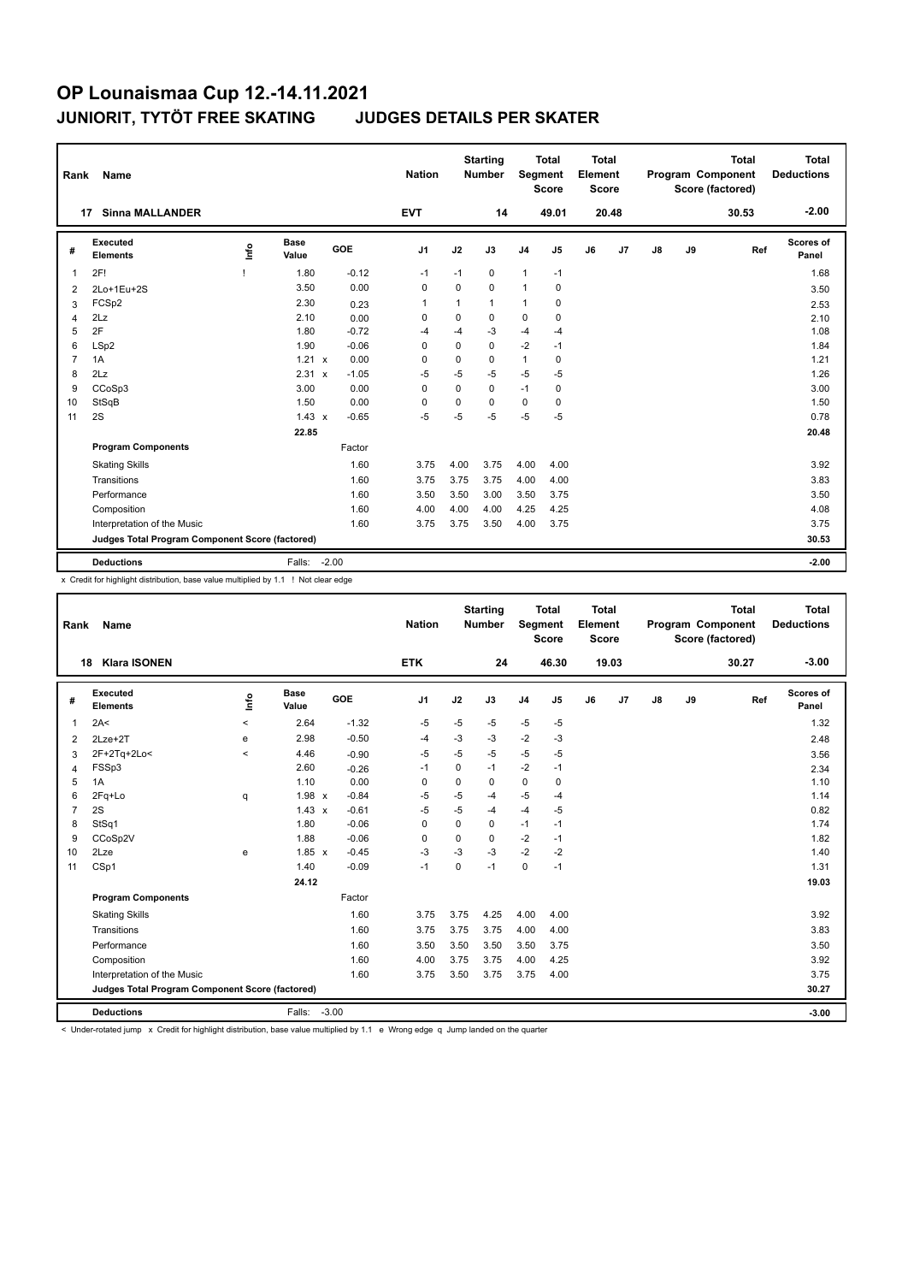| Rank           | Name                                            |      |                      |         | <b>Nation</b>  |          | <b>Starting</b><br><b>Number</b> | <b>Segment</b> | <b>Total</b><br><b>Score</b> | <b>Total</b><br>Element<br><b>Score</b> |                |               |    | <b>Total</b><br>Program Component<br>Score (factored) | <b>Total</b><br><b>Deductions</b> |
|----------------|-------------------------------------------------|------|----------------------|---------|----------------|----------|----------------------------------|----------------|------------------------------|-----------------------------------------|----------------|---------------|----|-------------------------------------------------------|-----------------------------------|
|                | <b>Sinna MALLANDER</b><br>17                    |      |                      |         | <b>EVT</b>     |          | 14                               |                | 49.01                        |                                         | 20.48          |               |    | 30.53                                                 | $-2.00$                           |
| #              | Executed<br><b>Elements</b>                     | lnfo | <b>Base</b><br>Value | GOE     | J <sub>1</sub> | J2       | J3                               | J <sub>4</sub> | J <sub>5</sub>               | J6                                      | J <sub>7</sub> | $\mathsf{J}8$ | J9 | Ref                                                   | Scores of<br>Panel                |
| 1              | 2F!                                             |      | 1.80                 | $-0.12$ | $-1$           | $-1$     | 0                                | $\mathbf{1}$   | $-1$                         |                                         |                |               |    |                                                       | 1.68                              |
| 2              | 2Lo+1Eu+2S                                      |      | 3.50                 | 0.00    | 0              | 0        | 0                                | $\mathbf{1}$   | 0                            |                                         |                |               |    |                                                       | 3.50                              |
| 3              | FCSp2                                           |      | 2.30                 | 0.23    | $\overline{1}$ | 1        | 1                                | $\mathbf{1}$   | 0                            |                                         |                |               |    |                                                       | 2.53                              |
| 4              | 2Lz                                             |      | 2.10                 | 0.00    | 0              | 0        | 0                                | $\mathbf 0$    | 0                            |                                         |                |               |    |                                                       | 2.10                              |
| 5              | 2F                                              |      | 1.80                 | $-0.72$ | $-4$           | $-4$     | $-3$                             | $-4$           | $-4$                         |                                         |                |               |    |                                                       | 1.08                              |
| 6              | LSp2                                            |      | 1.90                 | $-0.06$ | $\Omega$       | $\Omega$ | $\Omega$                         | $-2$           | $-1$                         |                                         |                |               |    |                                                       | 1.84                              |
| $\overline{7}$ | 1A                                              |      | 1.21 x               | 0.00    | $\Omega$       | 0        | 0                                | $\mathbf{1}$   | 0                            |                                         |                |               |    |                                                       | 1.21                              |
| 8              | 2Lz                                             |      | 2.31 x               | $-1.05$ | $-5$           | $-5$     | $-5$                             | $-5$           | $-5$                         |                                         |                |               |    |                                                       | 1.26                              |
| 9              | CCoSp3                                          |      | 3.00                 | 0.00    | 0              | $\Omega$ | 0                                | $-1$           | 0                            |                                         |                |               |    |                                                       | 3.00                              |
| 10             | StSqB                                           |      | 1.50                 | 0.00    | 0              | 0        | $\Omega$                         | 0              | 0                            |                                         |                |               |    |                                                       | 1.50                              |
| 11             | 2S                                              |      | $1.43 \times$        | $-0.65$ | $-5$           | $-5$     | -5                               | $-5$           | $-5$                         |                                         |                |               |    |                                                       | 0.78                              |
|                |                                                 |      | 22.85                |         |                |          |                                  |                |                              |                                         |                |               |    |                                                       | 20.48                             |
|                | <b>Program Components</b>                       |      |                      | Factor  |                |          |                                  |                |                              |                                         |                |               |    |                                                       |                                   |
|                | <b>Skating Skills</b>                           |      |                      | 1.60    | 3.75           | 4.00     | 3.75                             | 4.00           | 4.00                         |                                         |                |               |    |                                                       | 3.92                              |
|                | Transitions                                     |      |                      | 1.60    | 3.75           | 3.75     | 3.75                             | 4.00           | 4.00                         |                                         |                |               |    |                                                       | 3.83                              |
|                | Performance                                     |      |                      | 1.60    | 3.50           | 3.50     | 3.00                             | 3.50           | 3.75                         |                                         |                |               |    |                                                       | 3.50                              |
|                | Composition                                     |      |                      | 1.60    | 4.00           | 4.00     | 4.00                             | 4.25           | 4.25                         |                                         |                |               |    |                                                       | 4.08                              |
|                | Interpretation of the Music                     |      |                      | 1.60    | 3.75           | 3.75     | 3.50                             | 4.00           | 3.75                         |                                         |                |               |    |                                                       | 3.75                              |
|                | Judges Total Program Component Score (factored) |      |                      |         |                |          |                                  |                |                              |                                         |                |               |    |                                                       | 30.53                             |
|                | <b>Deductions</b>                               |      | Falls:               | $-2.00$ |                |          |                                  |                |                              |                                         |                |               |    |                                                       | $-2.00$                           |

x Credit for highlight distribution, base value multiplied by 1.1 ! Not clear edge

| Rank            | Name                                            |             |                      |         | <b>Nation</b>  |             | <b>Starting</b><br><b>Number</b> | Segment        | <b>Total</b><br><b>Score</b> | Total<br>Element<br><b>Score</b> |       |               |    | <b>Total</b><br>Program Component<br>Score (factored) | <b>Total</b><br><b>Deductions</b> |
|-----------------|-------------------------------------------------|-------------|----------------------|---------|----------------|-------------|----------------------------------|----------------|------------------------------|----------------------------------|-------|---------------|----|-------------------------------------------------------|-----------------------------------|
| 18              | <b>Klara ISONEN</b>                             |             |                      |         | <b>ETK</b>     |             | 24                               |                | 46.30                        |                                  | 19.03 |               |    | 30.27                                                 | $-3.00$                           |
| #               | Executed<br><b>Elements</b>                     | <u>lnfo</u> | <b>Base</b><br>Value | GOE     | J <sub>1</sub> | J2          | J3                               | J <sub>4</sub> | J5                           | J6                               | J7    | $\mathsf{J}8$ | J9 | Ref                                                   | <b>Scores of</b><br>Panel         |
| 1               | 2A<                                             | $\prec$     | 2.64                 | $-1.32$ | -5             | $-5$        | -5                               | $-5$           | $-5$                         |                                  |       |               |    |                                                       | 1.32                              |
| 2               | $2Lze+2T$                                       | e           | 2.98                 | $-0.50$ | -4             | $-3$        | $-3$                             | $-2$           | $-3$                         |                                  |       |               |    |                                                       | 2.48                              |
| 3               | 2F+2Tq+2Lo<                                     | $\prec$     | 4.46                 | $-0.90$ | $-5$           | $-5$        | $-5$                             | $-5$           | $-5$                         |                                  |       |               |    |                                                       | 3.56                              |
| 4               | FSSp3                                           |             | 2.60                 | $-0.26$ | $-1$           | 0           | $-1$                             | $-2$           | $-1$                         |                                  |       |               |    |                                                       | 2.34                              |
| 5               | 1A                                              |             | 1.10                 | 0.00    | $\mathbf 0$    | $\mathbf 0$ | 0                                | $\mathbf 0$    | $\mathbf 0$                  |                                  |       |               |    |                                                       | 1.10                              |
| 6               | 2Fq+Lo                                          | q           | $1.98 \times$        | $-0.84$ | -5             | $-5$        | $-4$                             | $-5$           | $-4$                         |                                  |       |               |    |                                                       | 1.14                              |
| $\overline{7}$  | 2S                                              |             | $1.43 \times$        | $-0.61$ | -5             | $-5$        | $-4$                             | $-4$           | $-5$                         |                                  |       |               |    |                                                       | 0.82                              |
| 8               | StSq1                                           |             | 1.80                 | $-0.06$ | 0              | $\mathbf 0$ | 0                                | $-1$           | $-1$                         |                                  |       |               |    |                                                       | 1.74                              |
| 9               | CCoSp2V                                         |             | 1.88                 | $-0.06$ | 0              | $\mathbf 0$ | 0                                | $-2$           | $-1$                         |                                  |       |               |    |                                                       | 1.82                              |
| 10 <sup>1</sup> | 2Lze                                            | e           | $1.85 \times$        | $-0.45$ | $-3$           | $-3$        | $-3$                             | $-2$           | $-2$                         |                                  |       |               |    |                                                       | 1.40                              |
| 11              | CSp1                                            |             | 1.40                 | $-0.09$ | $-1$           | 0           | $-1$                             | $\mathbf 0$    | $-1$                         |                                  |       |               |    |                                                       | 1.31                              |
|                 |                                                 |             | 24.12                |         |                |             |                                  |                |                              |                                  |       |               |    |                                                       | 19.03                             |
|                 | <b>Program Components</b>                       |             |                      | Factor  |                |             |                                  |                |                              |                                  |       |               |    |                                                       |                                   |
|                 | <b>Skating Skills</b>                           |             |                      | 1.60    | 3.75           | 3.75        | 4.25                             | 4.00           | 4.00                         |                                  |       |               |    |                                                       | 3.92                              |
|                 | Transitions                                     |             |                      | 1.60    | 3.75           | 3.75        | 3.75                             | 4.00           | 4.00                         |                                  |       |               |    |                                                       | 3.83                              |
|                 | Performance                                     |             |                      | 1.60    | 3.50           | 3.50        | 3.50                             | 3.50           | 3.75                         |                                  |       |               |    |                                                       | 3.50                              |
|                 | Composition                                     |             |                      | 1.60    | 4.00           | 3.75        | 3.75                             | 4.00           | 4.25                         |                                  |       |               |    |                                                       | 3.92                              |
|                 | Interpretation of the Music                     |             |                      | 1.60    | 3.75           | 3.50        | 3.75                             | 3.75           | 4.00                         |                                  |       |               |    |                                                       | 3.75                              |
|                 | Judges Total Program Component Score (factored) |             |                      |         |                |             |                                  |                |                              |                                  |       |               |    |                                                       | 30.27                             |
|                 | <b>Deductions</b>                               |             | Falls: -3.00         |         |                |             |                                  |                |                              |                                  |       |               |    |                                                       | $-3.00$                           |

< Under-rotated jump x Credit for highlight distribution, base value multiplied by 1.1 e Wrong edge q Jump landed on the quarter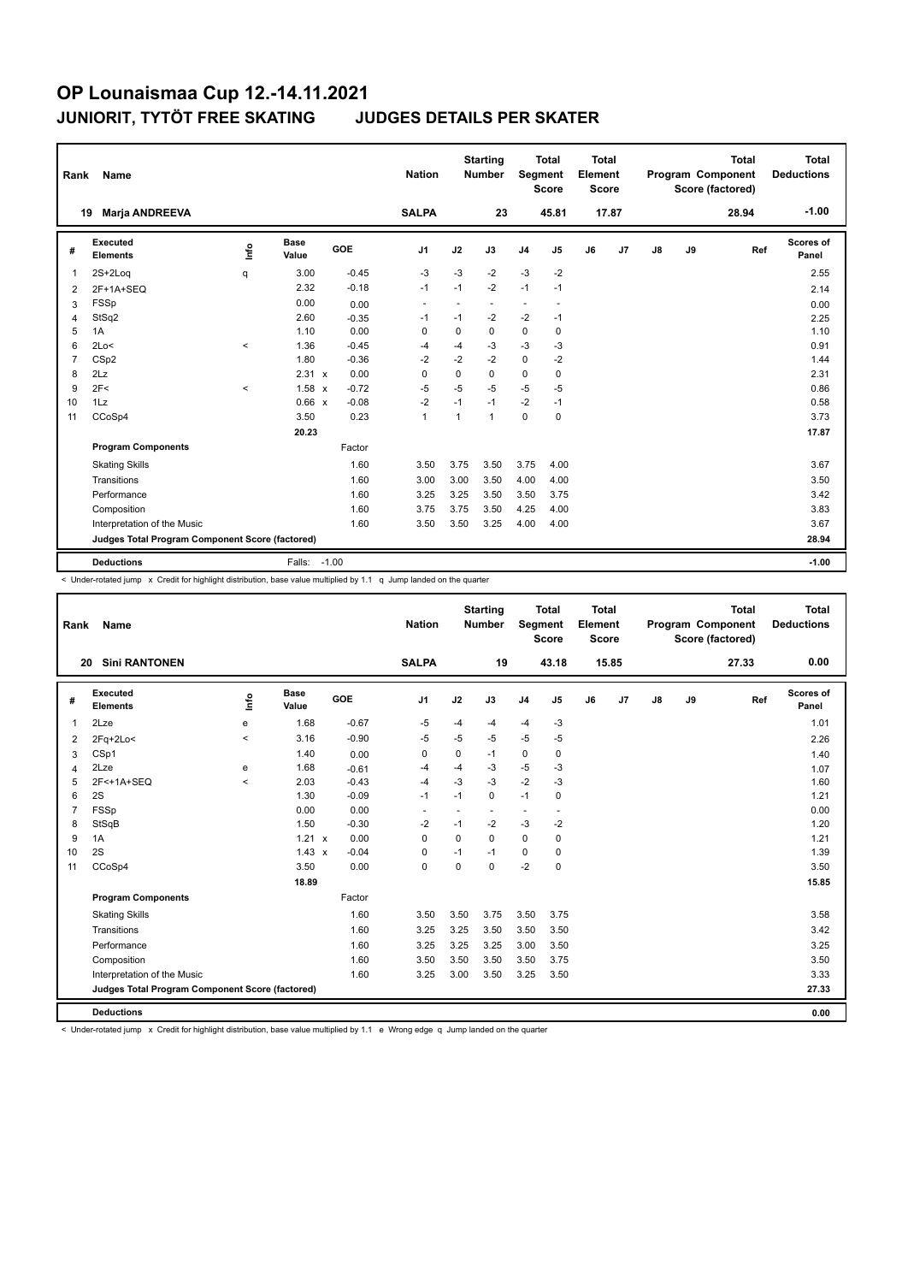| Rank           | Name                                            |                                  |                      |         | <b>Nation</b>            |              | <b>Starting</b><br>Number | <b>Segment</b> | <b>Total</b><br><b>Score</b> | <b>Total</b><br>Element<br><b>Score</b> |       |    |    | <b>Total</b><br><b>Program Component</b><br>Score (factored) | Total<br><b>Deductions</b> |
|----------------|-------------------------------------------------|----------------------------------|----------------------|---------|--------------------------|--------------|---------------------------|----------------|------------------------------|-----------------------------------------|-------|----|----|--------------------------------------------------------------|----------------------------|
|                | <b>Marja ANDREEVA</b><br>19                     |                                  |                      |         | <b>SALPA</b>             |              | 23                        |                | 45.81                        |                                         | 17.87 |    |    | 28.94                                                        | $-1.00$                    |
| #              | Executed<br><b>Elements</b>                     | $\mathop{\mathsf{Int}}\nolimits$ | <b>Base</b><br>Value | GOE     | J <sub>1</sub>           | J2           | J3                        | J <sub>4</sub> | J <sub>5</sub>               | J6                                      | J7    | J8 | J9 | Ref                                                          | Scores of<br>Panel         |
| 1              | $2S+2Log$                                       | q                                | 3.00                 | $-0.45$ | $-3$                     | $-3$         | $-2$                      | $-3$           | $-2$                         |                                         |       |    |    |                                                              | 2.55                       |
| 2              | 2F+1A+SEQ                                       |                                  | 2.32                 | $-0.18$ | $-1$                     | $-1$         | $-2$                      | $-1$           | $-1$                         |                                         |       |    |    |                                                              | 2.14                       |
| 3              | <b>FSSp</b>                                     |                                  | 0.00                 | 0.00    | $\overline{\phantom{a}}$ |              | $\blacksquare$            | ٠              | $\blacksquare$               |                                         |       |    |    |                                                              | 0.00                       |
| 4              | StSq2                                           |                                  | 2.60                 | $-0.35$ | -1                       | $-1$         | $-2$                      | $-2$           | $-1$                         |                                         |       |    |    |                                                              | 2.25                       |
| 5              | 1A                                              |                                  | 1.10                 | 0.00    | 0                        | 0            | 0                         | 0              | 0                            |                                         |       |    |    |                                                              | 1.10                       |
| 6              | 2Lo<                                            | $\prec$                          | 1.36                 | $-0.45$ | $-4$                     | $-4$         | $-3$                      | $-3$           | $-3$                         |                                         |       |    |    |                                                              | 0.91                       |
| $\overline{7}$ | CS <sub>p2</sub>                                |                                  | 1.80                 | $-0.36$ | $-2$                     | $-2$         | $-2$                      | $\mathbf 0$    | $-2$                         |                                         |       |    |    |                                                              | 1.44                       |
| 8              | 2Lz                                             |                                  | 2.31 x               | 0.00    | $\Omega$                 | $\Omega$     | $\Omega$                  | $\mathbf 0$    | 0                            |                                         |       |    |    |                                                              | 2.31                       |
| 9              | 2F<                                             | $\,<\,$                          | $1.58 \times$        | $-0.72$ | $-5$                     | $-5$         | $-5$                      | $-5$           | $-5$                         |                                         |       |    |    |                                                              | 0.86                       |
| 10             | 1Lz                                             |                                  | 0.66 x               | $-0.08$ | $-2$                     | $-1$         | $-1$                      | $-2$           | $-1$                         |                                         |       |    |    |                                                              | 0.58                       |
| 11             | CCoSp4                                          |                                  | 3.50                 | 0.23    | $\mathbf{1}$             | $\mathbf{1}$ | 1                         | $\mathbf 0$    | 0                            |                                         |       |    |    |                                                              | 3.73                       |
|                |                                                 |                                  | 20.23                |         |                          |              |                           |                |                              |                                         |       |    |    |                                                              | 17.87                      |
|                | <b>Program Components</b>                       |                                  |                      | Factor  |                          |              |                           |                |                              |                                         |       |    |    |                                                              |                            |
|                | <b>Skating Skills</b>                           |                                  |                      | 1.60    | 3.50                     | 3.75         | 3.50                      | 3.75           | 4.00                         |                                         |       |    |    |                                                              | 3.67                       |
|                | Transitions                                     |                                  |                      | 1.60    | 3.00                     | 3.00         | 3.50                      | 4.00           | 4.00                         |                                         |       |    |    |                                                              | 3.50                       |
|                | Performance                                     |                                  |                      | 1.60    | 3.25                     | 3.25         | 3.50                      | 3.50           | 3.75                         |                                         |       |    |    |                                                              | 3.42                       |
|                | Composition                                     |                                  |                      | 1.60    | 3.75                     | 3.75         | 3.50                      | 4.25           | 4.00                         |                                         |       |    |    |                                                              | 3.83                       |
|                | Interpretation of the Music                     |                                  |                      | 1.60    | 3.50                     | 3.50         | 3.25                      | 4.00           | 4.00                         |                                         |       |    |    |                                                              | 3.67                       |
|                | Judges Total Program Component Score (factored) |                                  |                      |         |                          |              |                           |                |                              |                                         |       |    |    |                                                              | 28.94                      |
|                | <b>Deductions</b>                               |                                  | Falls:               | $-1.00$ |                          |              |                           |                |                              |                                         |       |    |    |                                                              | $-1.00$                    |

< Under-rotated jump x Credit for highlight distribution, base value multiplied by 1.1 q Jump landed on the quarter

| Rank           | <b>Name</b>                                     |          |                      |            | <b>Nation</b>  |      | <b>Starting</b><br><b>Number</b> | Segment        | <b>Total</b><br><b>Score</b> | <b>Total</b><br>Element<br>Score |                |               |    | <b>Total</b><br>Program Component<br>Score (factored) | <b>Total</b><br><b>Deductions</b> |
|----------------|-------------------------------------------------|----------|----------------------|------------|----------------|------|----------------------------------|----------------|------------------------------|----------------------------------|----------------|---------------|----|-------------------------------------------------------|-----------------------------------|
|                | <b>Sini RANTONEN</b><br>20                      |          |                      |            | <b>SALPA</b>   |      | 19                               |                | 43.18                        |                                  | 15.85          |               |    | 27.33                                                 | 0.00                              |
| #              | Executed<br><b>Elements</b>                     | Linfo    | <b>Base</b><br>Value | <b>GOE</b> | J <sub>1</sub> | J2   | J3                               | J <sub>4</sub> | J5                           | J6                               | J <sub>7</sub> | $\mathsf{J}8$ | J9 | Ref                                                   | Scores of<br>Panel                |
| $\overline{1}$ | 2Lze                                            | e        | 1.68                 | $-0.67$    | $-5$           | -4   | $-4$                             | $-4$           | $-3$                         |                                  |                |               |    |                                                       | 1.01                              |
| 2              | $2Fq+2Lo<$                                      | $\hat{}$ | 3.16                 | $-0.90$    | $-5$           | $-5$ | $-5$                             | $-5$           | $-5$                         |                                  |                |               |    |                                                       | 2.26                              |
| 3              | CSp1                                            |          | 1.40                 | 0.00       | 0              | 0    | $-1$                             | 0              | 0                            |                                  |                |               |    |                                                       | 1.40                              |
| $\overline{4}$ | 2Lze                                            | e        | 1.68                 | $-0.61$    | $-4$           | $-4$ | $-3$                             | $-5$           | $-3$                         |                                  |                |               |    |                                                       | 1.07                              |
| 5              | 2F<+1A+SEQ                                      | $\prec$  | 2.03                 | $-0.43$    | $-4$           | $-3$ | $-3$                             | $-2$           | $-3$                         |                                  |                |               |    |                                                       | 1.60                              |
| 6              | 2S                                              |          | 1.30                 | $-0.09$    | $-1$           | $-1$ | 0                                | $-1$           | 0                            |                                  |                |               |    |                                                       | 1.21                              |
| $\overline{7}$ | <b>FSSp</b>                                     |          | 0.00                 | 0.00       | ٠              | ٠    | $\overline{\phantom{a}}$         |                | $\overline{\phantom{a}}$     |                                  |                |               |    |                                                       | 0.00                              |
| 8              | StSqB                                           |          | 1.50                 | $-0.30$    | $-2$           | $-1$ | $-2$                             | $-3$           | $-2$                         |                                  |                |               |    |                                                       | 1.20                              |
| 9              | 1A                                              |          | $1.21 \times$        | 0.00       | 0              | 0    | 0                                | $\mathbf 0$    | $\mathbf 0$                  |                                  |                |               |    |                                                       | 1.21                              |
| 10             | 2S                                              |          | $1.43 \times$        | $-0.04$    | 0              | $-1$ | $-1$                             | 0              | 0                            |                                  |                |               |    |                                                       | 1.39                              |
| 11             | CCoSp4                                          |          | 3.50                 | 0.00       | $\pmb{0}$      | 0    | $\Omega$                         | $-2$           | $\pmb{0}$                    |                                  |                |               |    |                                                       | 3.50                              |
|                |                                                 |          | 18.89                |            |                |      |                                  |                |                              |                                  |                |               |    |                                                       | 15.85                             |
|                | <b>Program Components</b>                       |          |                      | Factor     |                |      |                                  |                |                              |                                  |                |               |    |                                                       |                                   |
|                | <b>Skating Skills</b>                           |          |                      | 1.60       | 3.50           | 3.50 | 3.75                             | 3.50           | 3.75                         |                                  |                |               |    |                                                       | 3.58                              |
|                | Transitions                                     |          |                      | 1.60       | 3.25           | 3.25 | 3.50                             | 3.50           | 3.50                         |                                  |                |               |    |                                                       | 3.42                              |
|                | Performance                                     |          |                      | 1.60       | 3.25           | 3.25 | 3.25                             | 3.00           | 3.50                         |                                  |                |               |    |                                                       | 3.25                              |
|                | Composition                                     |          |                      | 1.60       | 3.50           | 3.50 | 3.50                             | 3.50           | 3.75                         |                                  |                |               |    |                                                       | 3.50                              |
|                | Interpretation of the Music                     |          |                      | 1.60       | 3.25           | 3.00 | 3.50                             | 3.25           | 3.50                         |                                  |                |               |    |                                                       | 3.33                              |
|                | Judges Total Program Component Score (factored) |          |                      |            |                |      |                                  |                |                              |                                  |                |               |    |                                                       | 27.33                             |
|                | <b>Deductions</b>                               |          |                      |            |                |      |                                  |                |                              |                                  |                |               |    |                                                       | 0.00                              |

< Under-rotated jump x Credit for highlight distribution, base value multiplied by 1.1 e Wrong edge q Jump landed on the quarter